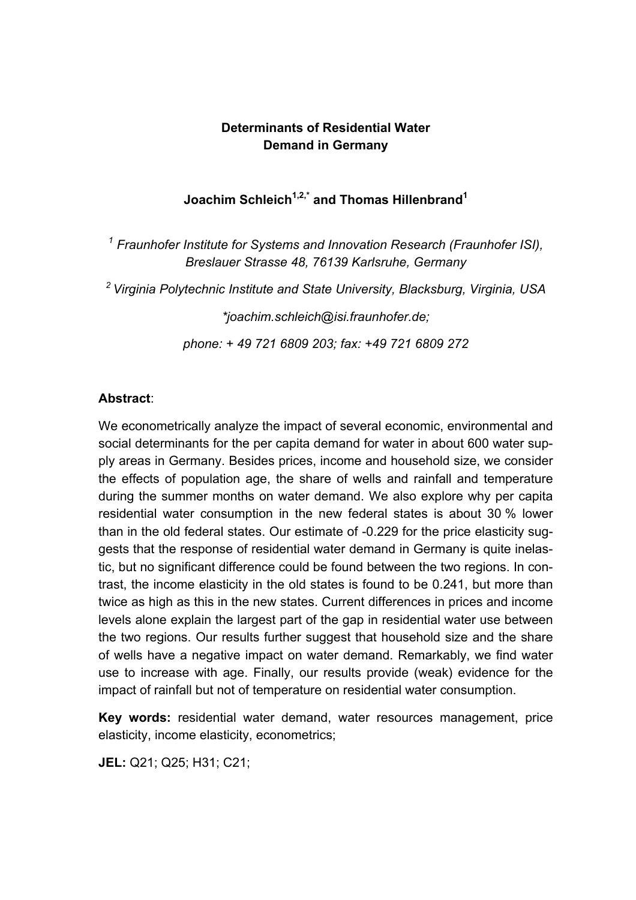## **Determinants of Residential Water Demand in Germany**

# **Joachim Schleich1,2,\* and Thomas Hillenbrand1**

<sup>1</sup> Fraunhofer Institute for Systems and Innovation Research (Fraunhofer ISI), *Breslauer Strasse 48, 76139 Karlsruhe, Germany* 

*2 Virginia Polytechnic Institute and State University, Blacksburg, Virginia, USA* 

*\*joachim.schleich@isi.fraunhofer.de;* 

*phone: + 49 721 6809 203; fax: +49 721 6809 272* 

## **Abstract**:

We econometrically analyze the impact of several economic, environmental and social determinants for the per capita demand for water in about 600 water supply areas in Germany. Besides prices, income and household size, we consider the effects of population age, the share of wells and rainfall and temperature during the summer months on water demand. We also explore why per capita residential water consumption in the new federal states is about 30 % lower than in the old federal states. Our estimate of -0.229 for the price elasticity suggests that the response of residential water demand in Germany is quite inelastic, but no significant difference could be found between the two regions. In contrast, the income elasticity in the old states is found to be 0.241, but more than twice as high as this in the new states. Current differences in prices and income levels alone explain the largest part of the gap in residential water use between the two regions. Our results further suggest that household size and the share of wells have a negative impact on water demand. Remarkably, we find water use to increase with age. Finally, our results provide (weak) evidence for the impact of rainfall but not of temperature on residential water consumption.

**Key words:** residential water demand, water resources management, price elasticity, income elasticity, econometrics;

**JEL:** Q21; Q25; H31; C21;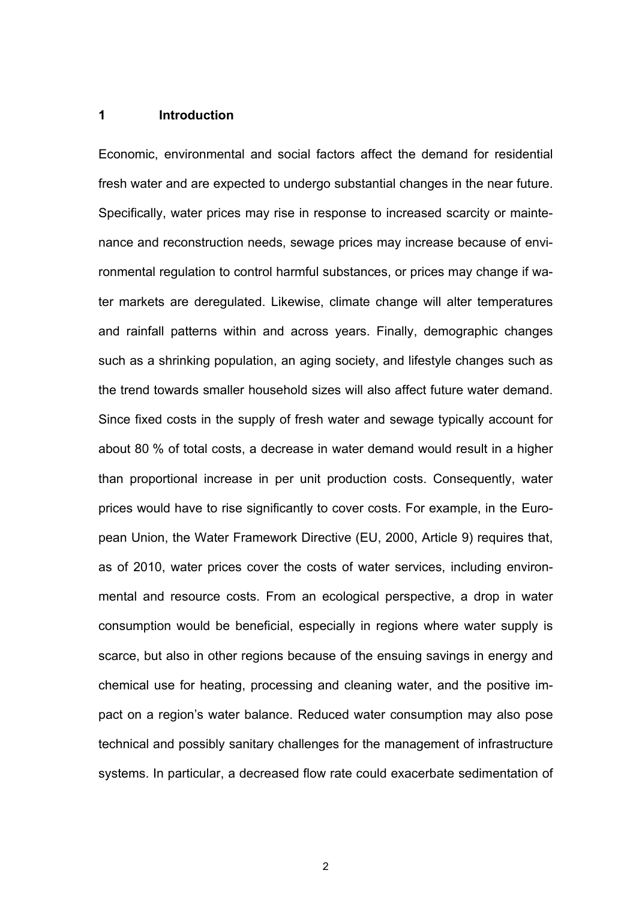### **1 Introduction**

Economic, environmental and social factors affect the demand for residential fresh water and are expected to undergo substantial changes in the near future. Specifically, water prices may rise in response to increased scarcity or maintenance and reconstruction needs, sewage prices may increase because of environmental regulation to control harmful substances, or prices may change if water markets are deregulated. Likewise, climate change will alter temperatures and rainfall patterns within and across years. Finally, demographic changes such as a shrinking population, an aging society, and lifestyle changes such as the trend towards smaller household sizes will also affect future water demand. Since fixed costs in the supply of fresh water and sewage typically account for about 80 % of total costs, a decrease in water demand would result in a higher than proportional increase in per unit production costs. Consequently, water prices would have to rise significantly to cover costs. For example, in the European Union, the Water Framework Directive (EU, 2000, Article 9) requires that, as of 2010, water prices cover the costs of water services, including environmental and resource costs. From an ecological perspective, a drop in water consumption would be beneficial, especially in regions where water supply is scarce, but also in other regions because of the ensuing savings in energy and chemical use for heating, processing and cleaning water, and the positive impact on a region's water balance. Reduced water consumption may also pose technical and possibly sanitary challenges for the management of infrastructure systems. In particular, a decreased flow rate could exacerbate sedimentation of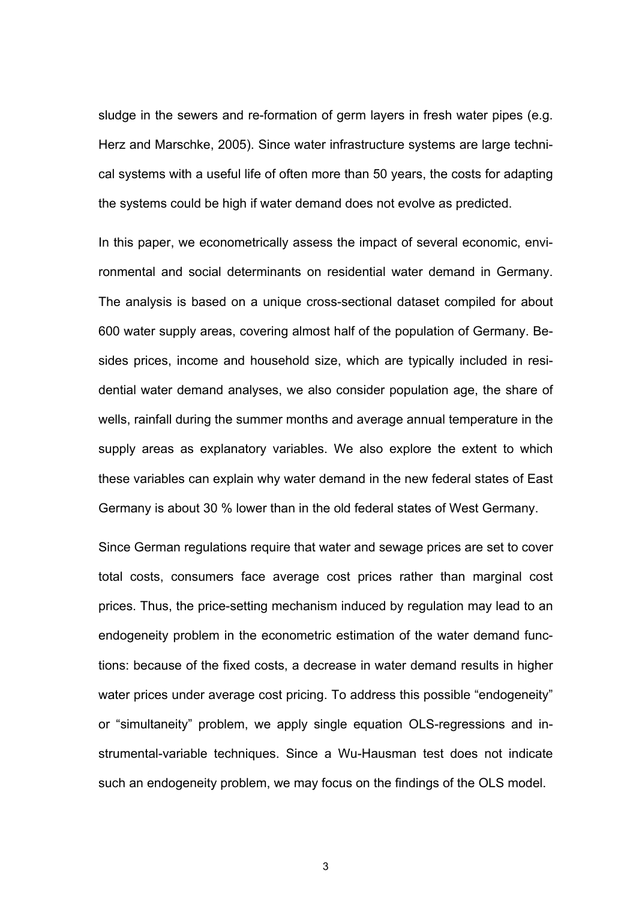sludge in the sewers and re-formation of germ layers in fresh water pipes (e.g. Herz and Marschke, 2005). Since water infrastructure systems are large technical systems with a useful life of often more than 50 years, the costs for adapting the systems could be high if water demand does not evolve as predicted.

In this paper, we econometrically assess the impact of several economic, environmental and social determinants on residential water demand in Germany. The analysis is based on a unique cross-sectional dataset compiled for about 600 water supply areas, covering almost half of the population of Germany. Besides prices, income and household size, which are typically included in residential water demand analyses, we also consider population age, the share of wells, rainfall during the summer months and average annual temperature in the supply areas as explanatory variables. We also explore the extent to which these variables can explain why water demand in the new federal states of East Germany is about 30 % lower than in the old federal states of West Germany.

Since German regulations require that water and sewage prices are set to cover total costs, consumers face average cost prices rather than marginal cost prices. Thus, the price-setting mechanism induced by regulation may lead to an endogeneity problem in the econometric estimation of the water demand functions: because of the fixed costs, a decrease in water demand results in higher water prices under average cost pricing. To address this possible "endogeneity" or "simultaneity" problem, we apply single equation OLS-regressions and instrumental-variable techniques. Since a Wu-Hausman test does not indicate such an endogeneity problem, we may focus on the findings of the OLS model.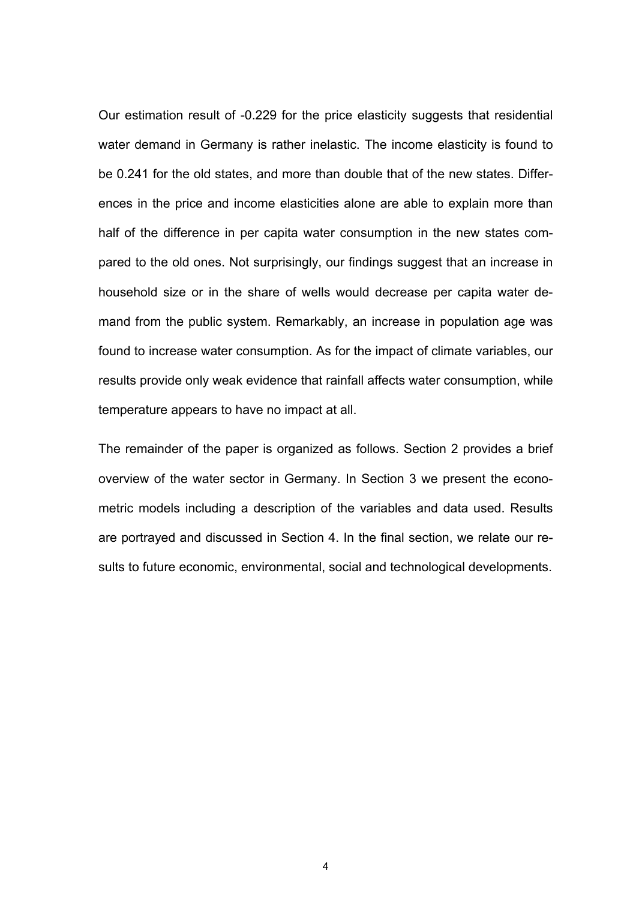Our estimation result of -0.229 for the price elasticity suggests that residential water demand in Germany is rather inelastic. The income elasticity is found to be 0.241 for the old states, and more than double that of the new states. Differences in the price and income elasticities alone are able to explain more than half of the difference in per capita water consumption in the new states compared to the old ones. Not surprisingly, our findings suggest that an increase in household size or in the share of wells would decrease per capita water demand from the public system. Remarkably, an increase in population age was found to increase water consumption. As for the impact of climate variables, our results provide only weak evidence that rainfall affects water consumption, while temperature appears to have no impact at all.

The remainder of the paper is organized as follows. Section 2 provides a brief overview of the water sector in Germany. In Section 3 we present the econometric models including a description of the variables and data used. Results are portrayed and discussed in Section 4. In the final section, we relate our results to future economic, environmental, social and technological developments.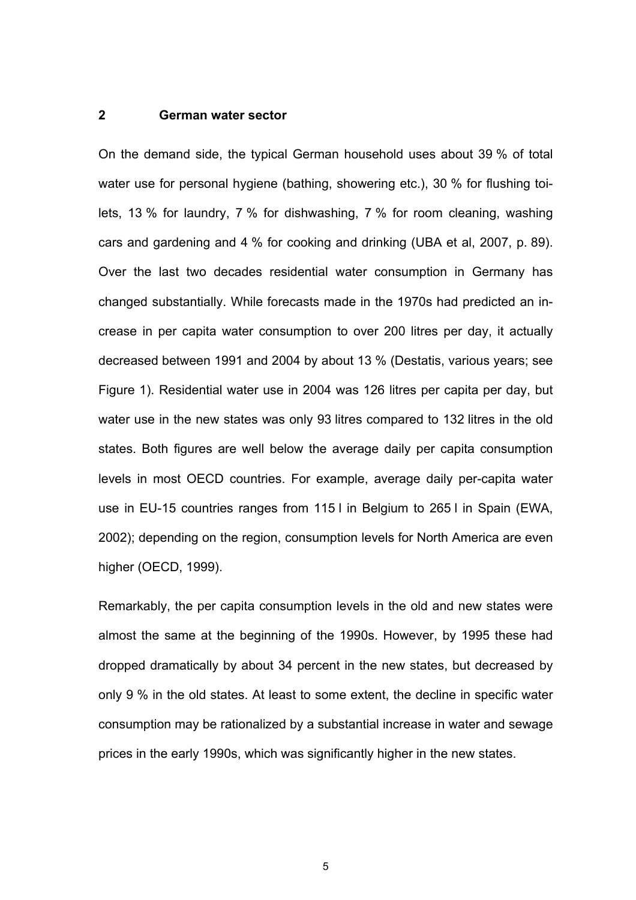## **2 German water sector**

On the demand side, the typical German household uses about 39 % of total water use for personal hygiene (bathing, showering etc.), 30 % for flushing toilets, 13 % for laundry, 7 % for dishwashing, 7 % for room cleaning, washing cars and gardening and 4 % for cooking and drinking (UBA et al, 2007, p. 89). Over the last two decades residential water consumption in Germany has changed substantially. While forecasts made in the 1970s had predicted an increase in per capita water consumption to over 200 litres per day, it actually decreased between 1991 and 2004 by about 13 % (Destatis, various years; see Figure 1). Residential water use in 2004 was 126 litres per capita per day, but water use in the new states was only 93 litres compared to 132 litres in the old states. Both figures are well below the average daily per capita consumption levels in most OECD countries. For example, average daily per-capita water use in EU-15 countries ranges from 115 l in Belgium to 265 l in Spain (EWA, 2002); depending on the region, consumption levels for North America are even higher (OECD, 1999).

Remarkably, the per capita consumption levels in the old and new states were almost the same at the beginning of the 1990s. However, by 1995 these had dropped dramatically by about 34 percent in the new states, but decreased by only 9 % in the old states. At least to some extent, the decline in specific water consumption may be rationalized by a substantial increase in water and sewage prices in the early 1990s, which was significantly higher in the new states.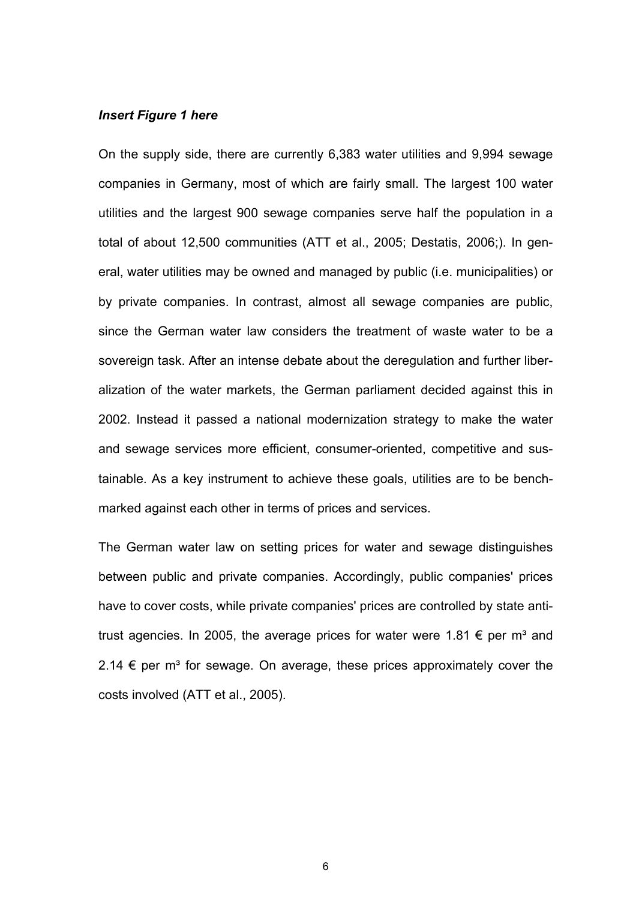### *Insert Figure 1 here*

On the supply side, there are currently 6,383 water utilities and 9,994 sewage companies in Germany, most of which are fairly small. The largest 100 water utilities and the largest 900 sewage companies serve half the population in a total of about 12,500 communities (ATT et al., 2005; Destatis, 2006;). In general, water utilities may be owned and managed by public (i.e. municipalities) or by private companies. In contrast, almost all sewage companies are public, since the German water law considers the treatment of waste water to be a sovereign task. After an intense debate about the deregulation and further liberalization of the water markets, the German parliament decided against this in 2002. Instead it passed a national modernization strategy to make the water and sewage services more efficient, consumer-oriented, competitive and sustainable. As a key instrument to achieve these goals, utilities are to be benchmarked against each other in terms of prices and services.

The German water law on setting prices for water and sewage distinguishes between public and private companies. Accordingly, public companies' prices have to cover costs, while private companies' prices are controlled by state antitrust agencies. In 2005, the average prices for water were 1.81  $\epsilon$  per m<sup>3</sup> and 2.14  $\epsilon$  per m<sup>3</sup> for sewage. On average, these prices approximately cover the costs involved (ATT et al., 2005).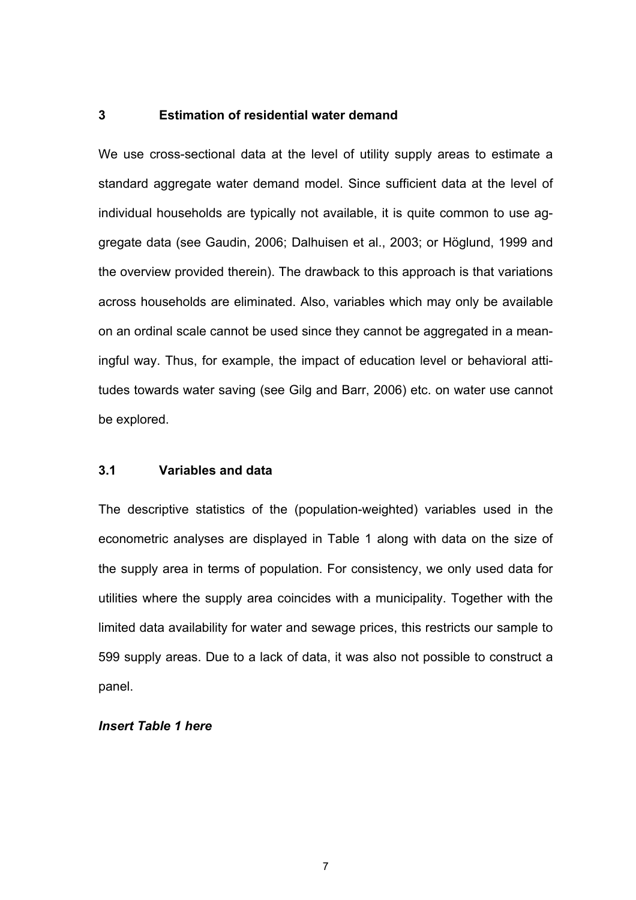### **3 Estimation of residential water demand**

We use cross-sectional data at the level of utility supply areas to estimate a standard aggregate water demand model. Since sufficient data at the level of individual households are typically not available, it is quite common to use aggregate data (see Gaudin, 2006; Dalhuisen et al., 2003; or Höglund, 1999 and the overview provided therein). The drawback to this approach is that variations across households are eliminated. Also, variables which may only be available on an ordinal scale cannot be used since they cannot be aggregated in a meaningful way. Thus, for example, the impact of education level or behavioral attitudes towards water saving (see Gilg and Barr, 2006) etc. on water use cannot be explored.

## **3.1 Variables and data**

The descriptive statistics of the (population-weighted) variables used in the econometric analyses are displayed in Table 1 along with data on the size of the supply area in terms of population. For consistency, we only used data for utilities where the supply area coincides with a municipality. Together with the limited data availability for water and sewage prices, this restricts our sample to 599 supply areas. Due to a lack of data, it was also not possible to construct a panel.

## *Insert Table 1 here*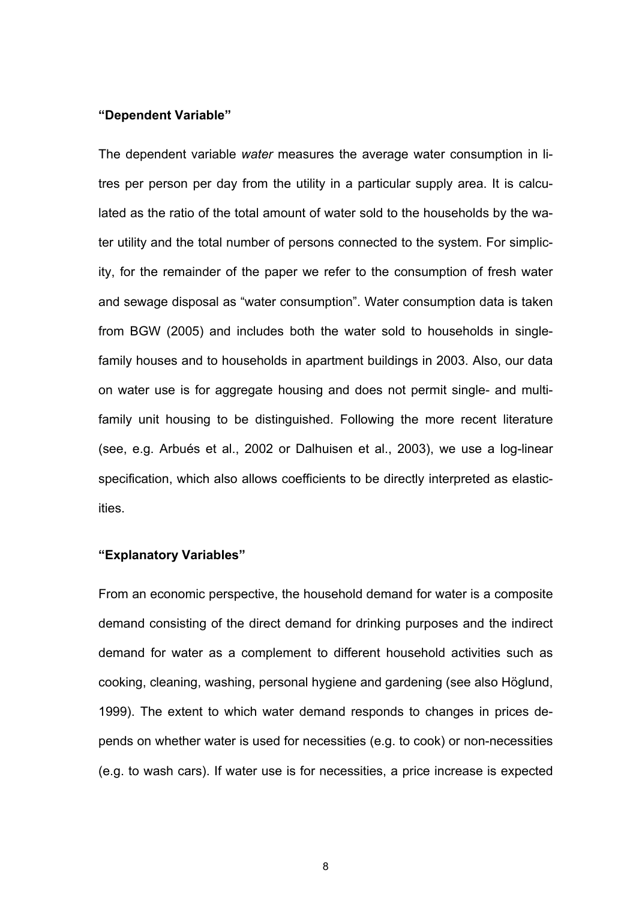#### **"Dependent Variable"**

The dependent variable *water* measures the average water consumption in litres per person per day from the utility in a particular supply area. It is calculated as the ratio of the total amount of water sold to the households by the water utility and the total number of persons connected to the system. For simplicity, for the remainder of the paper we refer to the consumption of fresh water and sewage disposal as "water consumption". Water consumption data is taken from BGW (2005) and includes both the water sold to households in singlefamily houses and to households in apartment buildings in 2003. Also, our data on water use is for aggregate housing and does not permit single- and multifamily unit housing to be distinguished. Following the more recent literature (see, e.g. Arbués et al., 2002 or Dalhuisen et al., 2003), we use a log-linear specification, which also allows coefficients to be directly interpreted as elasticities.

#### **"Explanatory Variables"**

From an economic perspective, the household demand for water is a composite demand consisting of the direct demand for drinking purposes and the indirect demand for water as a complement to different household activities such as cooking, cleaning, washing, personal hygiene and gardening (see also Höglund, 1999). The extent to which water demand responds to changes in prices depends on whether water is used for necessities (e.g. to cook) or non-necessities (e.g. to wash cars). If water use is for necessities, a price increase is expected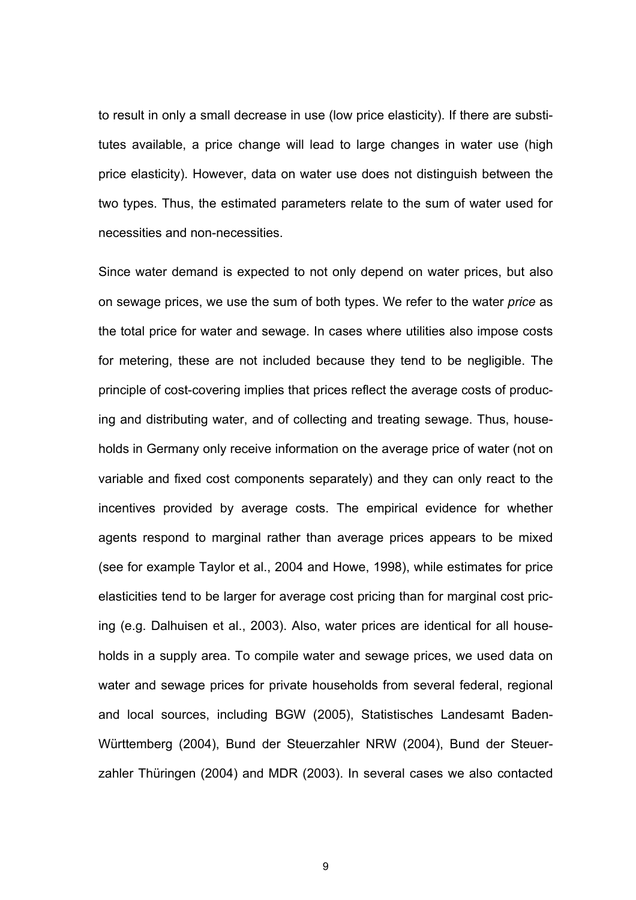to result in only a small decrease in use (low price elasticity). If there are substitutes available, a price change will lead to large changes in water use (high price elasticity). However, data on water use does not distinguish between the two types. Thus, the estimated parameters relate to the sum of water used for necessities and non-necessities.

Since water demand is expected to not only depend on water prices, but also on sewage prices, we use the sum of both types. We refer to the water *price* as the total price for water and sewage. In cases where utilities also impose costs for metering, these are not included because they tend to be negligible. The principle of cost-covering implies that prices reflect the average costs of producing and distributing water, and of collecting and treating sewage. Thus, households in Germany only receive information on the average price of water (not on variable and fixed cost components separately) and they can only react to the incentives provided by average costs. The empirical evidence for whether agents respond to marginal rather than average prices appears to be mixed (see for example Taylor et al., 2004 and Howe, 1998), while estimates for price elasticities tend to be larger for average cost pricing than for marginal cost pricing (e.g. Dalhuisen et al., 2003). Also, water prices are identical for all households in a supply area. To compile water and sewage prices, we used data on water and sewage prices for private households from several federal, regional and local sources, including BGW (2005), Statistisches Landesamt Baden-Württemberg (2004), Bund der Steuerzahler NRW (2004), Bund der Steuerzahler Thüringen (2004) and MDR (2003). In several cases we also contacted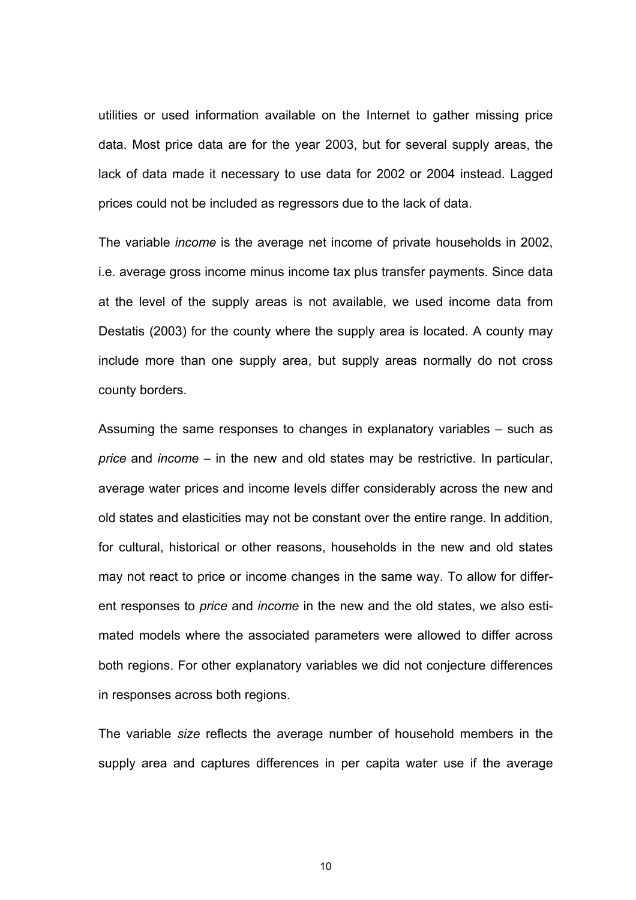utilities or used information available on the Internet to gather missing price data. Most price data are for the year 2003, but for several supply areas, the lack of data made it necessary to use data for 2002 or 2004 instead. Lagged prices could not be included as regressors due to the lack of data.

The variable *income* is the average net income of private households in 2002, i.e. average gross income minus income tax plus transfer payments. Since data at the level of the supply areas is not available, we used income data from Destatis (2003) for the county where the supply area is located. A county may include more than one supply area, but supply areas normally do not cross county borders.

Assuming the same responses to changes in explanatory variables – such as *price* and *income* – in the new and old states may be restrictive. In particular, average water prices and income levels differ considerably across the new and old states and elasticities may not be constant over the entire range. In addition, for cultural, historical or other reasons, households in the new and old states may not react to price or income changes in the same way. To allow for different responses to *price* and *income* in the new and the old states, we also estimated models where the associated parameters were allowed to differ across both regions. For other explanatory variables we did not conjecture differences in responses across both regions.

The variable *size* reflects the average number of household members in the supply area and captures differences in per capita water use if the average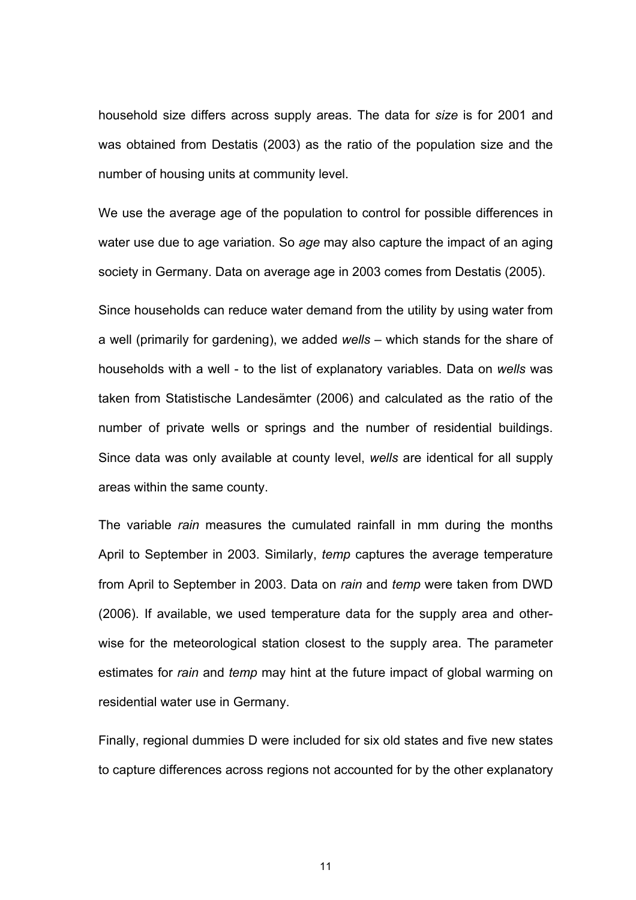household size differs across supply areas. The data for *size* is for 2001 and was obtained from Destatis (2003) as the ratio of the population size and the number of housing units at community level.

We use the average age of the population to control for possible differences in water use due to age variation. So *age* may also capture the impact of an aging society in Germany. Data on average age in 2003 comes from Destatis (2005).

Since households can reduce water demand from the utility by using water from a well (primarily for gardening), we added *wells* – which stands for the share of households with a well - to the list of explanatory variables. Data on *wells* was taken from Statistische Landesämter (2006) and calculated as the ratio of the number of private wells or springs and the number of residential buildings. Since data was only available at county level, *wells* are identical for all supply areas within the same county.

The variable *rain* measures the cumulated rainfall in mm during the months April to September in 2003. Similarly, *temp* captures the average temperature from April to September in 2003. Data on *rain* and *temp* were taken from DWD (2006). If available, we used temperature data for the supply area and otherwise for the meteorological station closest to the supply area. The parameter estimates for *rain* and *temp* may hint at the future impact of global warming on residential water use in Germany.

Finally, regional dummies D were included for six old states and five new states to capture differences across regions not accounted for by the other explanatory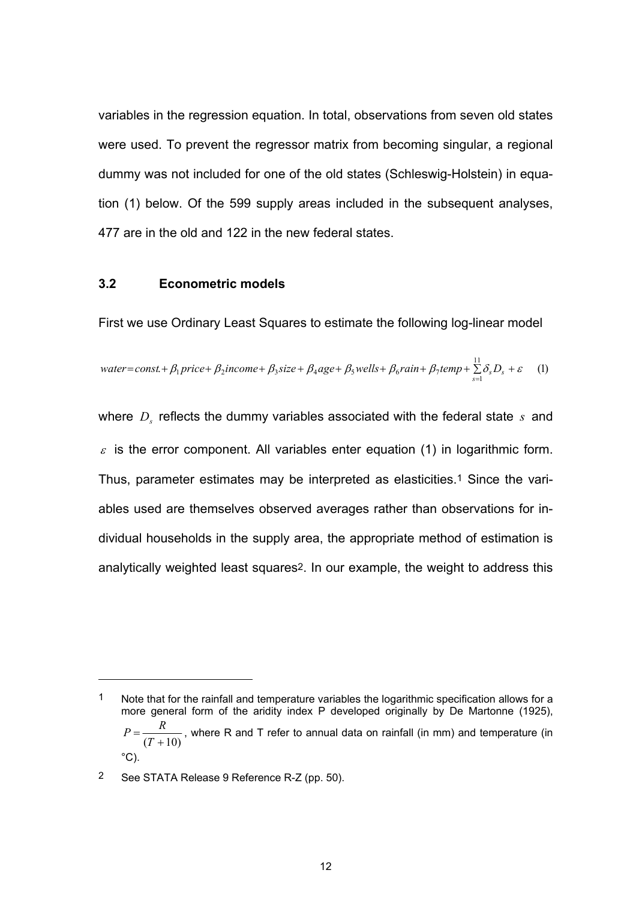variables in the regression equation. In total, observations from seven old states were used. To prevent the regressor matrix from becoming singular, a regional dummy was not included for one of the old states (Schleswig-Holstein) in equation (1) below. Of the 599 supply areas included in the subsequent analyses, 477 are in the old and 122 in the new federal states.

### **3.2 Econometric models**

First we use Ordinary Least Squares to estimate the following log-linear model

water=const. + 
$$
\beta_1
$$
 price +  $\beta_2$  income +  $\beta_3$  size +  $\beta_4$  age +  $\beta_5$  wells +  $\beta_6$  rain +  $\beta_7$  temp +  $\sum_{s=1}^{11} \delta_s D_s + \varepsilon$  (1)

where *D<sub>s</sub>* reflects the dummy variables associated with the federal state *s* and  $\varepsilon$  is the error component. All variables enter equation (1) in logarithmic form. Thus, parameter estimates may be interpreted as elasticities.1 Since the variables used are themselves observed averages rather than observations for individual households in the supply area, the appropriate method of estimation is analytically weighted least squares2. In our example, the weight to address this

1 Note that for the rainfall and temperature variables the logarithmic specification allows for a more general form of the aridity index P developed originally by De Martonne (1925),  $=\frac{R}{(T+10)}$  $\frac{1}{2}$ , where R and T refer to annual data on rainfall (in mm) and temperature (in  $^{\circ}$ C).

l

<sup>2</sup> See STATA Release 9 Reference R-Z (pp. 50).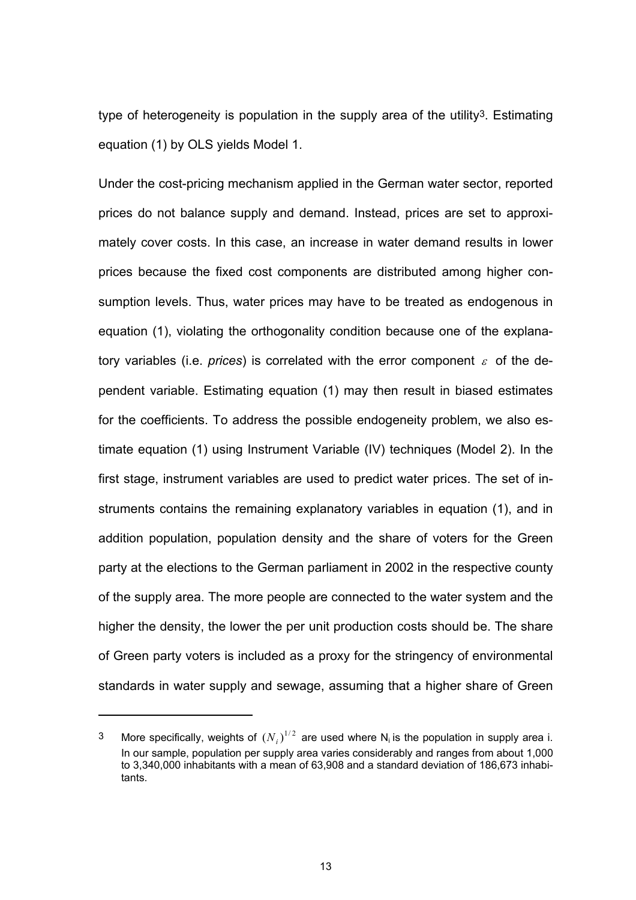type of heterogeneity is population in the supply area of the utility3. Estimating equation (1) by OLS yields Model 1.

Under the cost-pricing mechanism applied in the German water sector, reported prices do not balance supply and demand. Instead, prices are set to approximately cover costs. In this case, an increase in water demand results in lower prices because the fixed cost components are distributed among higher consumption levels. Thus, water prices may have to be treated as endogenous in equation (1), violating the orthogonality condition because one of the explanatory variables (i.e. *prices*) is correlated with the error component  $\varepsilon$  of the dependent variable. Estimating equation (1) may then result in biased estimates for the coefficients. To address the possible endogeneity problem, we also estimate equation (1) using Instrument Variable (IV) techniques (Model 2). In the first stage, instrument variables are used to predict water prices. The set of instruments contains the remaining explanatory variables in equation (1), and in addition population, population density and the share of voters for the Green party at the elections to the German parliament in 2002 in the respective county of the supply area. The more people are connected to the water system and the higher the density, the lower the per unit production costs should be. The share of Green party voters is included as a proxy for the stringency of environmental standards in water supply and sewage, assuming that a higher share of Green

l

<sup>&</sup>lt;sup>3</sup> More specifically, weights of  $(N_i)^{1/2}$  are used where N<sub>i</sub> is the population in supply area i. In our sample, population per supply area varies considerably and ranges from about 1,000 to 3,340,000 inhabitants with a mean of 63,908 and a standard deviation of 186,673 inhabitants.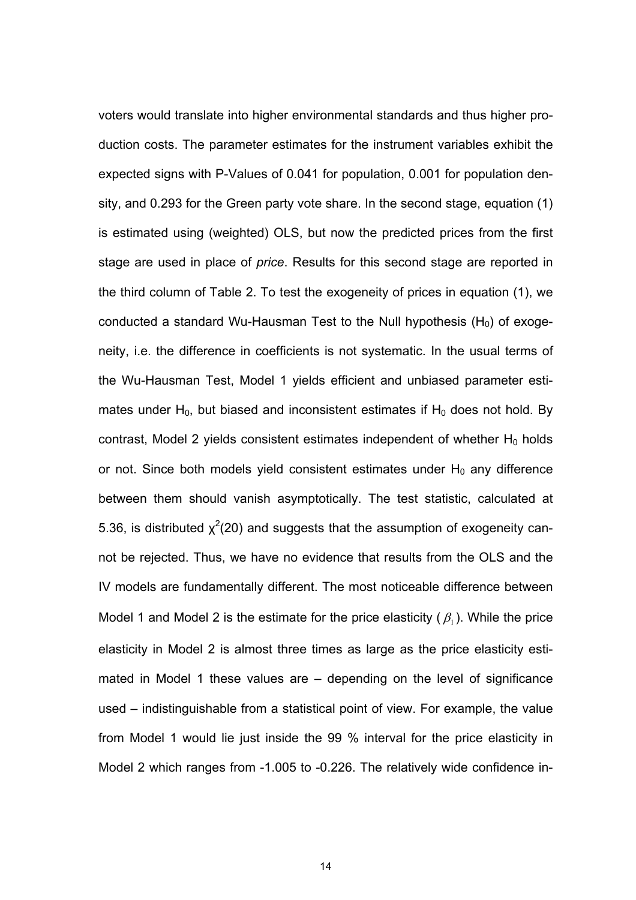voters would translate into higher environmental standards and thus higher production costs. The parameter estimates for the instrument variables exhibit the expected signs with P-Values of 0.041 for population, 0.001 for population density, and 0.293 for the Green party vote share. In the second stage, equation (1) is estimated using (weighted) OLS, but now the predicted prices from the first stage are used in place of *price*. Results for this second stage are reported in the third column of Table 2. To test the exogeneity of prices in equation (1), we conducted a standard Wu-Hausman Test to the Null hypothesis  $(H_0)$  of exogeneity, i.e. the difference in coefficients is not systematic. In the usual terms of the Wu-Hausman Test, Model 1 yields efficient and unbiased parameter estimates under  $H_0$ , but biased and inconsistent estimates if  $H_0$  does not hold. By contrast, Model 2 yields consistent estimates independent of whether  $H_0$  holds or not. Since both models yield consistent estimates under  $H_0$  any difference between them should vanish asymptotically. The test statistic, calculated at 5.36, is distributed  $\chi^2$ (20) and suggests that the assumption of exogeneity cannot be rejected. Thus, we have no evidence that results from the OLS and the IV models are fundamentally different. The most noticeable difference between Model 1 and Model 2 is the estimate for the price elasticity  $(\beta_1)$ . While the price elasticity in Model 2 is almost three times as large as the price elasticity estimated in Model 1 these values are – depending on the level of significance used – indistinguishable from a statistical point of view. For example, the value from Model 1 would lie just inside the 99 % interval for the price elasticity in Model 2 which ranges from -1.005 to -0.226. The relatively wide confidence in-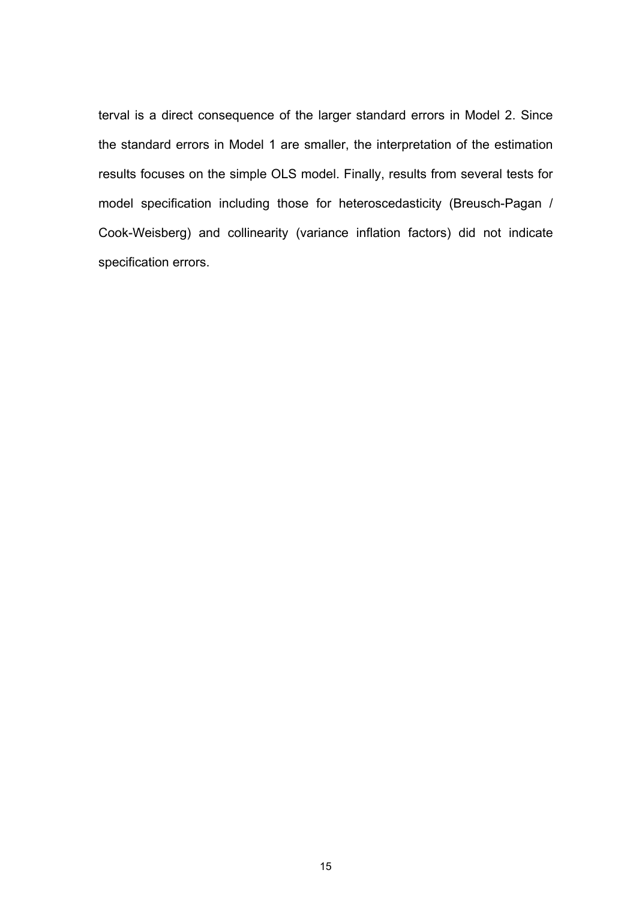terval is a direct consequence of the larger standard errors in Model 2. Since the standard errors in Model 1 are smaller, the interpretation of the estimation results focuses on the simple OLS model. Finally, results from several tests for model specification including those for heteroscedasticity (Breusch-Pagan / Cook-Weisberg) and collinearity (variance inflation factors) did not indicate specification errors.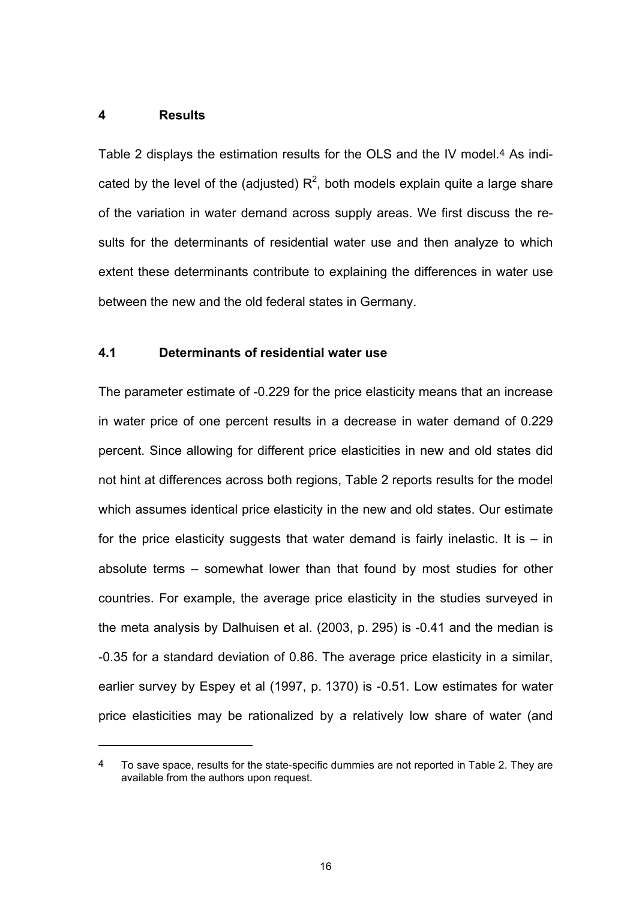### **4 Results**

l

Table 2 displays the estimation results for the OLS and the IV model.4 As indicated by the level of the (adjusted)  $R^2$ , both models explain quite a large share of the variation in water demand across supply areas. We first discuss the results for the determinants of residential water use and then analyze to which extent these determinants contribute to explaining the differences in water use between the new and the old federal states in Germany.

## **4.1 Determinants of residential water use**

The parameter estimate of -0.229 for the price elasticity means that an increase in water price of one percent results in a decrease in water demand of 0.229 percent. Since allowing for different price elasticities in new and old states did not hint at differences across both regions, Table 2 reports results for the model which assumes identical price elasticity in the new and old states. Our estimate for the price elasticity suggests that water demand is fairly inelastic. It is  $-$  in absolute terms – somewhat lower than that found by most studies for other countries. For example, the average price elasticity in the studies surveyed in the meta analysis by Dalhuisen et al. (2003, p. 295) is -0.41 and the median is -0.35 for a standard deviation of 0.86. The average price elasticity in a similar, earlier survey by Espey et al (1997, p. 1370) is -0.51. Low estimates for water price elasticities may be rationalized by a relatively low share of water (and

<sup>4</sup> To save space, results for the state-specific dummies are not reported in Table 2. They are available from the authors upon request.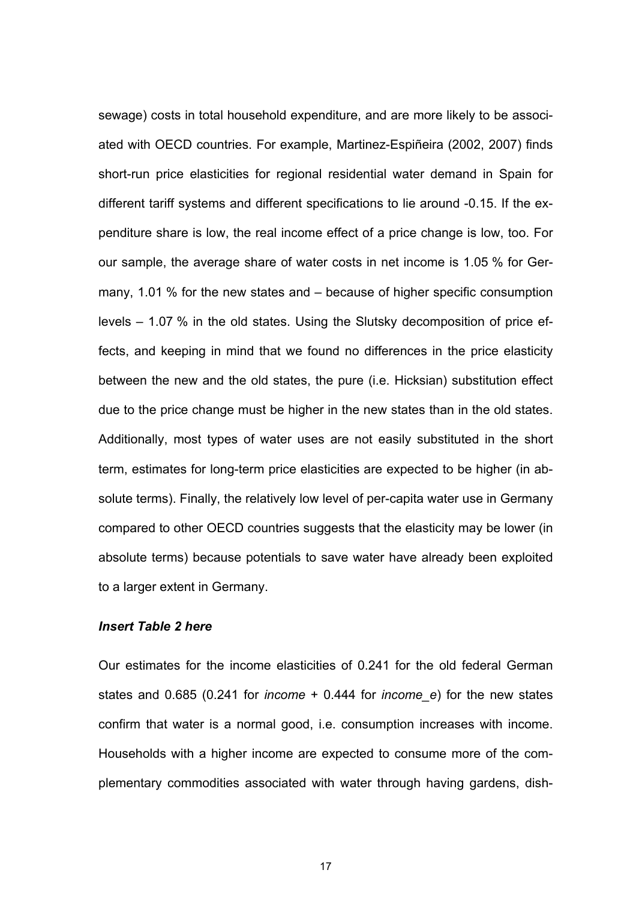sewage) costs in total household expenditure, and are more likely to be associated with OECD countries. For example, Martinez-Espiñeira (2002, 2007) finds short-run price elasticities for regional residential water demand in Spain for different tariff systems and different specifications to lie around -0.15. If the expenditure share is low, the real income effect of a price change is low, too. For our sample, the average share of water costs in net income is 1.05 % for Germany, 1.01 % for the new states and – because of higher specific consumption levels – 1.07 % in the old states. Using the Slutsky decomposition of price effects, and keeping in mind that we found no differences in the price elasticity between the new and the old states, the pure (i.e. Hicksian) substitution effect due to the price change must be higher in the new states than in the old states. Additionally, most types of water uses are not easily substituted in the short term, estimates for long-term price elasticities are expected to be higher (in absolute terms). Finally, the relatively low level of per-capita water use in Germany compared to other OECD countries suggests that the elasticity may be lower (in absolute terms) because potentials to save water have already been exploited to a larger extent in Germany.

## *Insert Table 2 here*

Our estimates for the income elasticities of 0.241 for the old federal German states and 0.685 (0.241 for *income* + 0.444 for *income\_e*) for the new states confirm that water is a normal good, i.e. consumption increases with income. Households with a higher income are expected to consume more of the complementary commodities associated with water through having gardens, dish-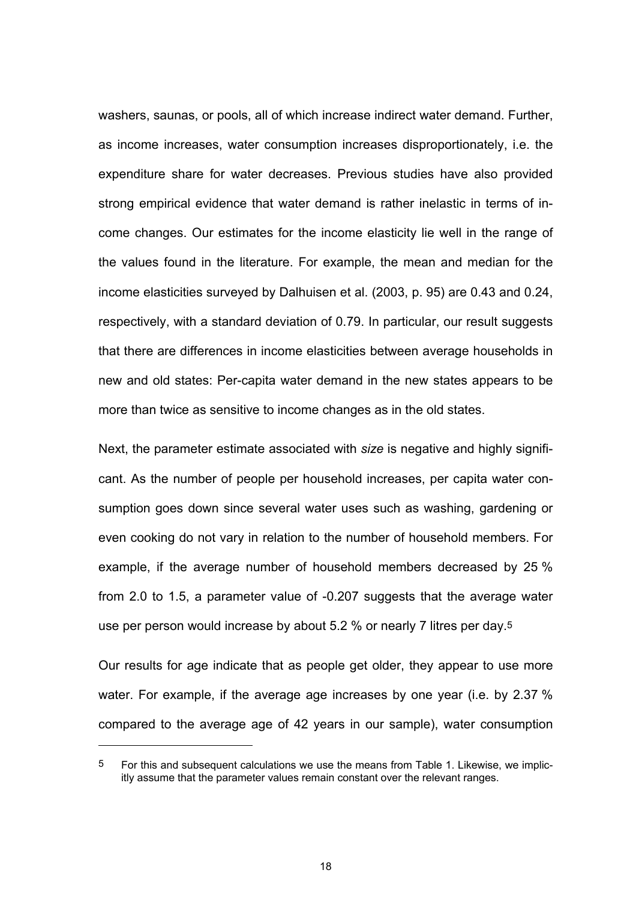washers, saunas, or pools, all of which increase indirect water demand. Further, as income increases, water consumption increases disproportionately, i.e. the expenditure share for water decreases. Previous studies have also provided strong empirical evidence that water demand is rather inelastic in terms of income changes. Our estimates for the income elasticity lie well in the range of the values found in the literature. For example, the mean and median for the income elasticities surveyed by Dalhuisen et al. (2003, p. 95) are 0.43 and 0.24, respectively, with a standard deviation of 0.79. In particular, our result suggests that there are differences in income elasticities between average households in new and old states: Per-capita water demand in the new states appears to be more than twice as sensitive to income changes as in the old states.

Next, the parameter estimate associated with *size* is negative and highly significant. As the number of people per household increases, per capita water consumption goes down since several water uses such as washing, gardening or even cooking do not vary in relation to the number of household members. For example, if the average number of household members decreased by 25 % from 2.0 to 1.5, a parameter value of -0.207 suggests that the average water use per person would increase by about 5.2 % or nearly 7 litres per day.5

Our results for age indicate that as people get older, they appear to use more water. For example, if the average age increases by one year (i.e. by 2.37 % compared to the average age of 42 years in our sample), water consumption

l

<sup>5</sup> For this and subsequent calculations we use the means from Table 1. Likewise, we implicitly assume that the parameter values remain constant over the relevant ranges.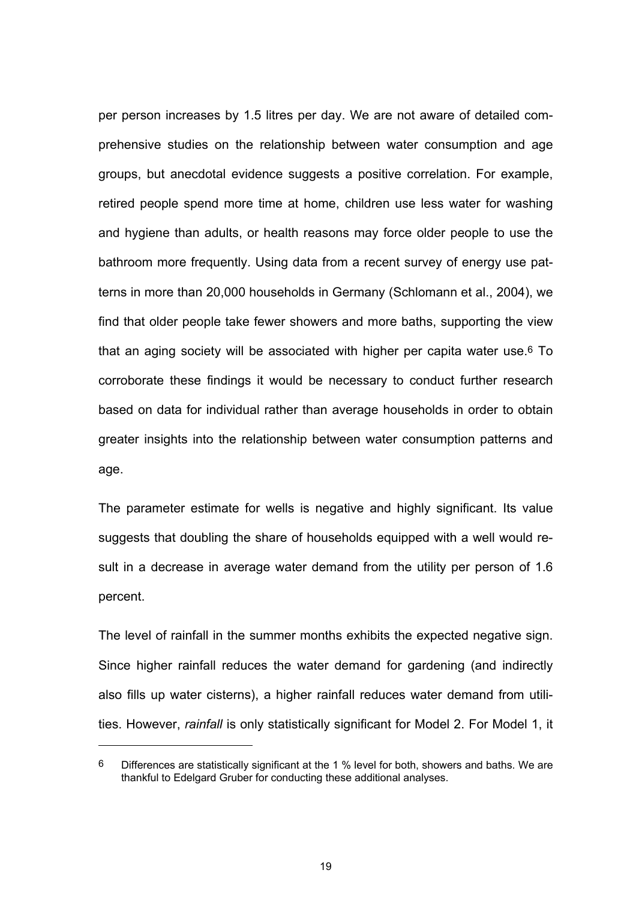per person increases by 1.5 litres per day. We are not aware of detailed comprehensive studies on the relationship between water consumption and age groups, but anecdotal evidence suggests a positive correlation. For example, retired people spend more time at home, children use less water for washing and hygiene than adults, or health reasons may force older people to use the bathroom more frequently. Using data from a recent survey of energy use patterns in more than 20,000 households in Germany (Schlomann et al., 2004), we find that older people take fewer showers and more baths, supporting the view that an aging society will be associated with higher per capita water use.6 To corroborate these findings it would be necessary to conduct further research based on data for individual rather than average households in order to obtain greater insights into the relationship between water consumption patterns and age.

The parameter estimate for wells is negative and highly significant. Its value suggests that doubling the share of households equipped with a well would result in a decrease in average water demand from the utility per person of 1.6 percent.

The level of rainfall in the summer months exhibits the expected negative sign. Since higher rainfall reduces the water demand for gardening (and indirectly also fills up water cisterns), a higher rainfall reduces water demand from utilities. However, *rainfall* is only statistically significant for Model 2. For Model 1, it

l

<sup>6</sup> Differences are statistically significant at the 1 % level for both, showers and baths. We are thankful to Edelgard Gruber for conducting these additional analyses.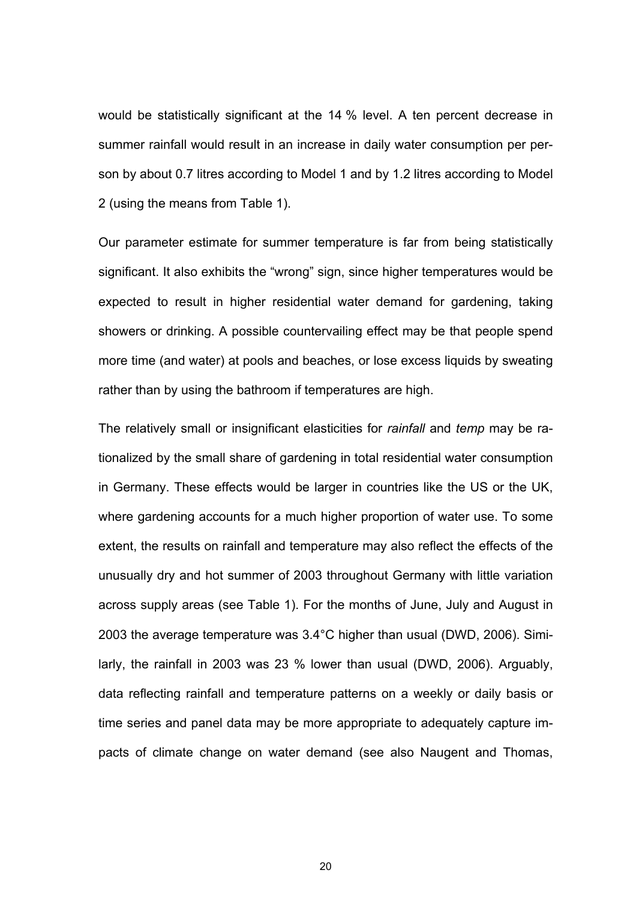would be statistically significant at the 14 % level. A ten percent decrease in summer rainfall would result in an increase in daily water consumption per person by about 0.7 litres according to Model 1 and by 1.2 litres according to Model 2 (using the means from Table 1).

Our parameter estimate for summer temperature is far from being statistically significant. It also exhibits the "wrong" sign, since higher temperatures would be expected to result in higher residential water demand for gardening, taking showers or drinking. A possible countervailing effect may be that people spend more time (and water) at pools and beaches, or lose excess liquids by sweating rather than by using the bathroom if temperatures are high.

The relatively small or insignificant elasticities for *rainfall* and *temp* may be rationalized by the small share of gardening in total residential water consumption in Germany. These effects would be larger in countries like the US or the UK, where gardening accounts for a much higher proportion of water use. To some extent, the results on rainfall and temperature may also reflect the effects of the unusually dry and hot summer of 2003 throughout Germany with little variation across supply areas (see Table 1). For the months of June, July and August in 2003 the average temperature was 3.4°C higher than usual (DWD, 2006). Similarly, the rainfall in 2003 was 23 % lower than usual (DWD, 2006). Arguably, data reflecting rainfall and temperature patterns on a weekly or daily basis or time series and panel data may be more appropriate to adequately capture impacts of climate change on water demand (see also Naugent and Thomas,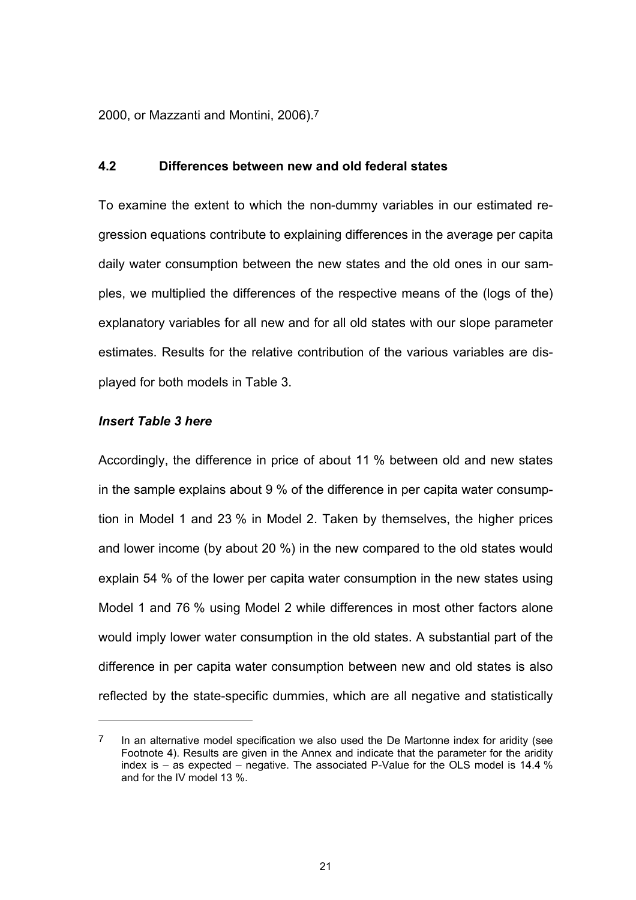2000, or Mazzanti and Montini, 2006).7

### **4.2 Differences between new and old federal states**

To examine the extent to which the non-dummy variables in our estimated regression equations contribute to explaining differences in the average per capita daily water consumption between the new states and the old ones in our samples, we multiplied the differences of the respective means of the (logs of the) explanatory variables for all new and for all old states with our slope parameter estimates. Results for the relative contribution of the various variables are displayed for both models in Table 3.

### *Insert Table 3 here*

l

Accordingly, the difference in price of about 11 % between old and new states in the sample explains about 9 % of the difference in per capita water consumption in Model 1 and 23 % in Model 2. Taken by themselves, the higher prices and lower income (by about 20 %) in the new compared to the old states would explain 54 % of the lower per capita water consumption in the new states using Model 1 and 76 % using Model 2 while differences in most other factors alone would imply lower water consumption in the old states. A substantial part of the difference in per capita water consumption between new and old states is also reflected by the state-specific dummies, which are all negative and statistically

 $7$  In an alternative model specification we also used the De Martonne index for aridity (see Footnote 4). Results are given in the Annex and indicate that the parameter for the aridity index is  $-$  as expected  $-$  negative. The associated P-Value for the OLS model is 14.4 % and for the IV model 13 %.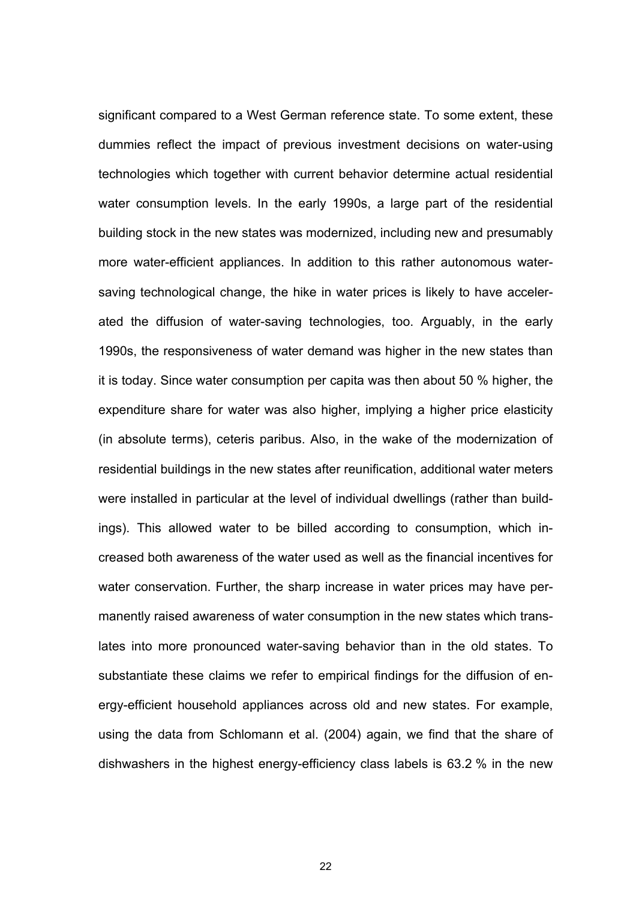significant compared to a West German reference state. To some extent, these dummies reflect the impact of previous investment decisions on water-using technologies which together with current behavior determine actual residential water consumption levels. In the early 1990s, a large part of the residential building stock in the new states was modernized, including new and presumably more water-efficient appliances. In addition to this rather autonomous watersaving technological change, the hike in water prices is likely to have accelerated the diffusion of water-saving technologies, too. Arguably, in the early 1990s, the responsiveness of water demand was higher in the new states than it is today. Since water consumption per capita was then about 50 % higher, the expenditure share for water was also higher, implying a higher price elasticity (in absolute terms), ceteris paribus. Also, in the wake of the modernization of residential buildings in the new states after reunification, additional water meters were installed in particular at the level of individual dwellings (rather than buildings). This allowed water to be billed according to consumption, which increased both awareness of the water used as well as the financial incentives for water conservation. Further, the sharp increase in water prices may have permanently raised awareness of water consumption in the new states which translates into more pronounced water-saving behavior than in the old states. To substantiate these claims we refer to empirical findings for the diffusion of energy-efficient household appliances across old and new states. For example, using the data from Schlomann et al. (2004) again, we find that the share of dishwashers in the highest energy-efficiency class labels is 63.2 % in the new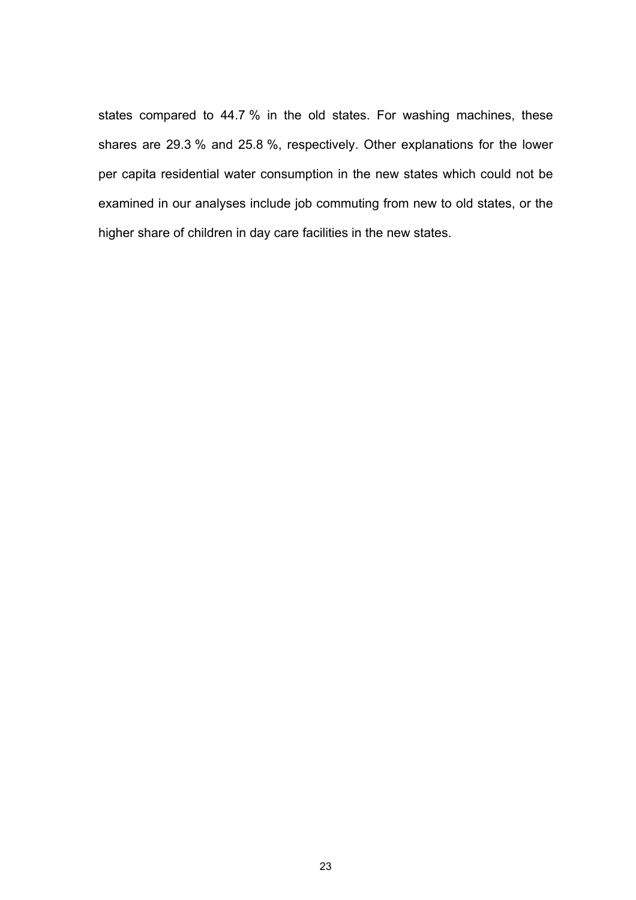states compared to 44.7 % in the old states. For washing machines, these shares are 29.3 % and 25.8 %, respectively. Other explanations for the lower per capita residential water consumption in the new states which could not be examined in our analyses include job commuting from new to old states, or the higher share of children in day care facilities in the new states.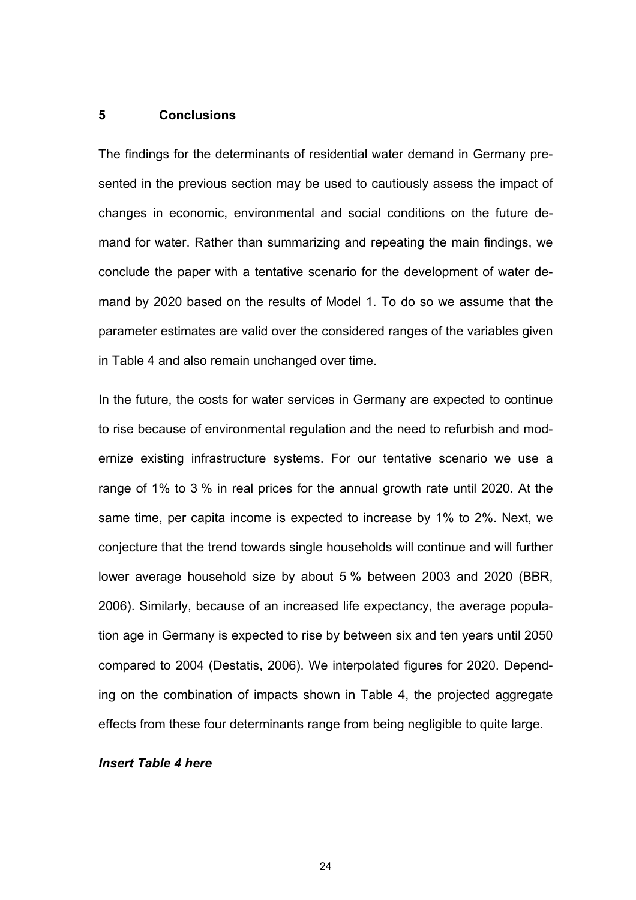### **5 Conclusions**

The findings for the determinants of residential water demand in Germany presented in the previous section may be used to cautiously assess the impact of changes in economic, environmental and social conditions on the future demand for water. Rather than summarizing and repeating the main findings, we conclude the paper with a tentative scenario for the development of water demand by 2020 based on the results of Model 1. To do so we assume that the parameter estimates are valid over the considered ranges of the variables given in Table 4 and also remain unchanged over time.

In the future, the costs for water services in Germany are expected to continue to rise because of environmental regulation and the need to refurbish and modernize existing infrastructure systems. For our tentative scenario we use a range of 1% to 3 % in real prices for the annual growth rate until 2020. At the same time, per capita income is expected to increase by 1% to 2%. Next, we conjecture that the trend towards single households will continue and will further lower average household size by about 5 % between 2003 and 2020 (BBR, 2006). Similarly, because of an increased life expectancy, the average population age in Germany is expected to rise by between six and ten years until 2050 compared to 2004 (Destatis, 2006). We interpolated figures for 2020. Depending on the combination of impacts shown in Table 4, the projected aggregate effects from these four determinants range from being negligible to quite large.

### *Insert Table 4 here*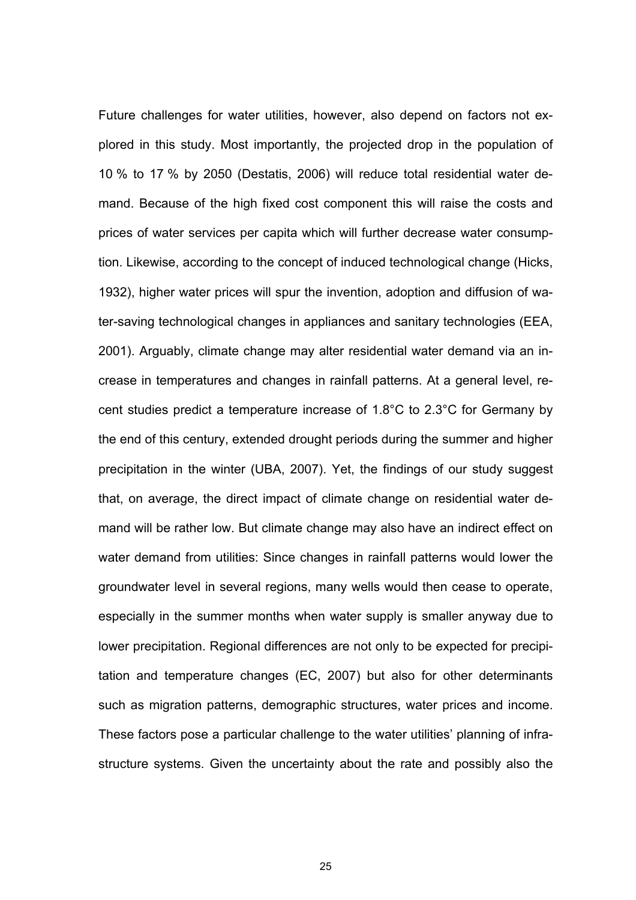Future challenges for water utilities, however, also depend on factors not explored in this study. Most importantly, the projected drop in the population of 10 % to 17 % by 2050 (Destatis, 2006) will reduce total residential water demand. Because of the high fixed cost component this will raise the costs and prices of water services per capita which will further decrease water consumption. Likewise, according to the concept of induced technological change (Hicks, 1932), higher water prices will spur the invention, adoption and diffusion of water-saving technological changes in appliances and sanitary technologies (EEA, 2001). Arguably, climate change may alter residential water demand via an increase in temperatures and changes in rainfall patterns. At a general level, recent studies predict a temperature increase of 1.8°C to 2.3°C for Germany by the end of this century, extended drought periods during the summer and higher precipitation in the winter (UBA, 2007). Yet, the findings of our study suggest that, on average, the direct impact of climate change on residential water demand will be rather low. But climate change may also have an indirect effect on water demand from utilities: Since changes in rainfall patterns would lower the groundwater level in several regions, many wells would then cease to operate, especially in the summer months when water supply is smaller anyway due to lower precipitation. Regional differences are not only to be expected for precipitation and temperature changes (EC, 2007) but also for other determinants such as migration patterns, demographic structures, water prices and income. These factors pose a particular challenge to the water utilities' planning of infrastructure systems. Given the uncertainty about the rate and possibly also the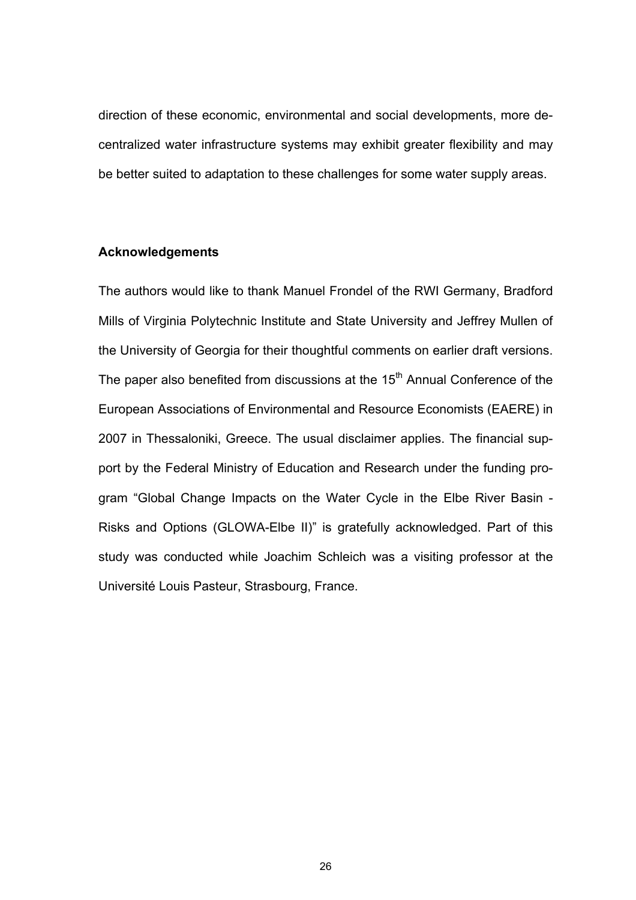direction of these economic, environmental and social developments, more decentralized water infrastructure systems may exhibit greater flexibility and may be better suited to adaptation to these challenges for some water supply areas.

## **Acknowledgements**

The authors would like to thank Manuel Frondel of the RWI Germany, Bradford Mills of Virginia Polytechnic Institute and State University and Jeffrey Mullen of the University of Georgia for their thoughtful comments on earlier draft versions. The paper also benefited from discussions at the  $15<sup>th</sup>$  Annual Conference of the European Associations of Environmental and Resource Economists (EAERE) in 2007 in Thessaloniki, Greece. The usual disclaimer applies. The financial support by the Federal Ministry of Education and Research under the funding program "Global Change Impacts on the Water Cycle in the Elbe River Basin - Risks and Options (GLOWA-Elbe II)" is gratefully acknowledged. Part of this study was conducted while Joachim Schleich was a visiting professor at the Université Louis Pasteur, Strasbourg, France.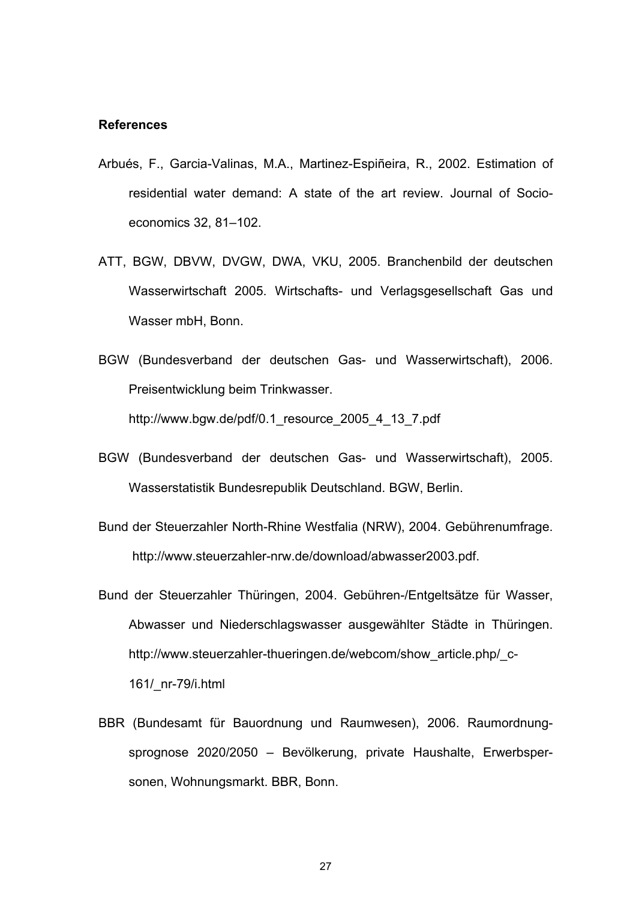#### **References**

- Arbués, F., Garcia-Valinas, M.A., Martinez-Espiñeira, R., 2002. Estimation of residential water demand: A state of the art review. Journal of Socioeconomics 32, 81–102.
- ATT, BGW, DBVW, DVGW, DWA, VKU, 2005. Branchenbild der deutschen Wasserwirtschaft 2005. Wirtschafts- und Verlagsgesellschaft Gas und Wasser mbH, Bonn.
- BGW (Bundesverband der deutschen Gas- und Wasserwirtschaft), 2006. Preisentwicklung beim Trinkwasser.

http://www.bgw.de/pdf/0.1 resource 2005 4 13 7.pdf

- BGW (Bundesverband der deutschen Gas- und Wasserwirtschaft), 2005. Wasserstatistik Bundesrepublik Deutschland. BGW, Berlin.
- Bund der Steuerzahler North-Rhine Westfalia (NRW), 2004. Gebührenumfrage. http://www.steuerzahler-nrw.de/download/abwasser2003.pdf.
- Bund der Steuerzahler Thüringen, 2004. Gebühren-/Entgeltsätze für Wasser, Abwasser und Niederschlagswasser ausgewählter Städte in Thüringen. http://www.steuerzahler-thueringen.de/webcom/show\_article.php/\_c-161/\_nr-79/i.html
- BBR (Bundesamt für Bauordnung und Raumwesen), 2006. Raumordnungsprognose 2020/2050 – Bevölkerung, private Haushalte, Erwerbspersonen, Wohnungsmarkt. BBR, Bonn.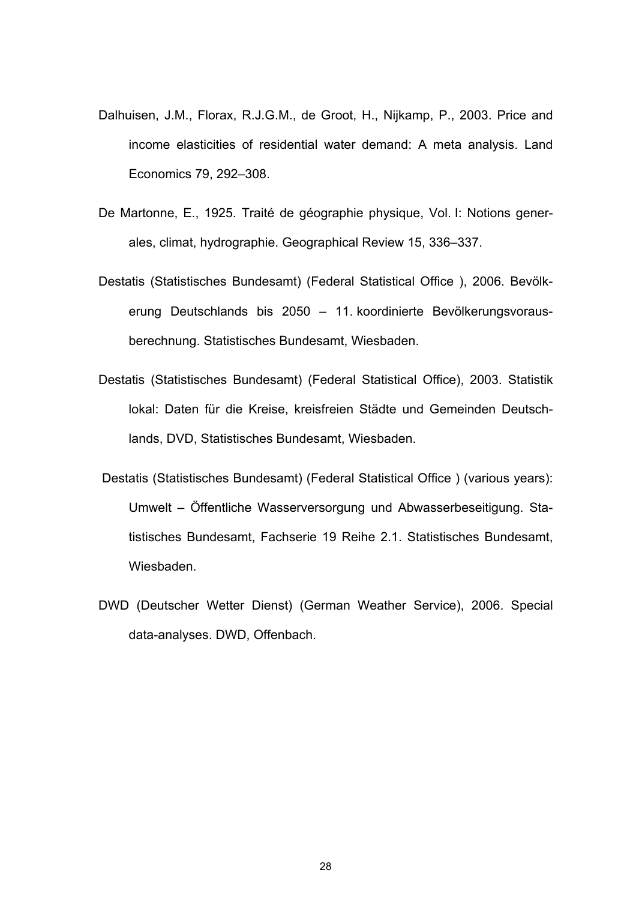- Dalhuisen, J.M., Florax, R.J.G.M., de Groot, H., Nijkamp, P., 2003. Price and income elasticities of residential water demand: A meta analysis. Land Economics 79, 292–308.
- De Martonne, E., 1925. Traité de géographie physique, Vol. I: Notions generales, climat, hydrographie. Geographical Review 15, 336–337.
- Destatis (Statistisches Bundesamt) (Federal Statistical Office ), 2006. Bevölkerung Deutschlands bis 2050 – 11. koordinierte Bevölkerungsvorausberechnung. Statistisches Bundesamt, Wiesbaden.
- Destatis (Statistisches Bundesamt) (Federal Statistical Office), 2003. Statistik lokal: Daten für die Kreise, kreisfreien Städte und Gemeinden Deutschlands, DVD, Statistisches Bundesamt, Wiesbaden.
- Destatis (Statistisches Bundesamt) (Federal Statistical Office ) (various years): Umwelt – Öffentliche Wasserversorgung und Abwasserbeseitigung. Statistisches Bundesamt, Fachserie 19 Reihe 2.1. Statistisches Bundesamt, Wiesbaden.
- DWD (Deutscher Wetter Dienst) (German Weather Service), 2006. Special data-analyses. DWD, Offenbach.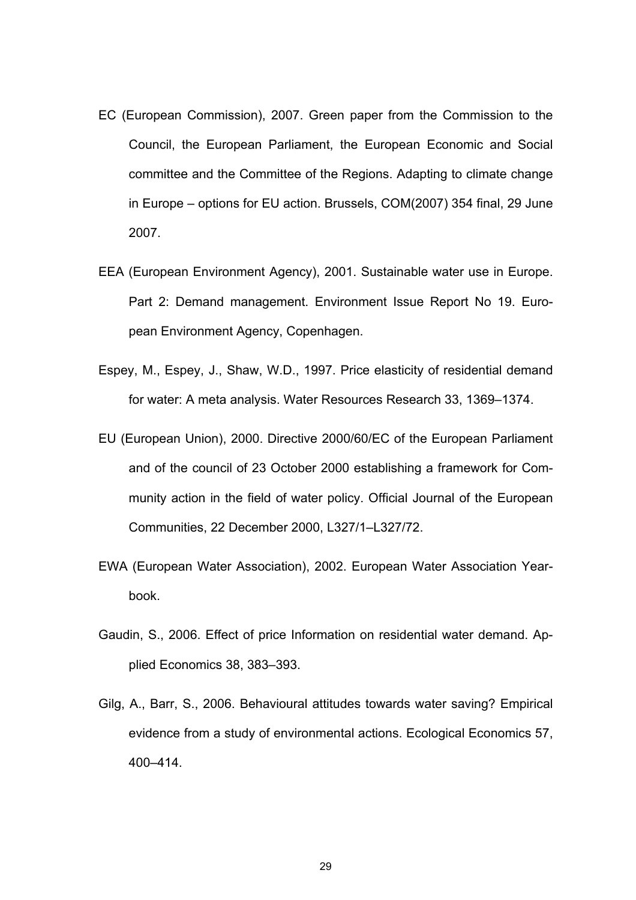- EC (European Commission), 2007. Green paper from the Commission to the Council, the European Parliament, the European Economic and Social committee and the Committee of the Regions. Adapting to climate change in Europe – options for EU action. Brussels, COM(2007) 354 final, 29 June 2007.
- EEA (European Environment Agency), 2001. Sustainable water use in Europe. Part 2: Demand management. Environment Issue Report No 19. European Environment Agency, Copenhagen.
- Espey, M., Espey, J., Shaw, W.D., 1997. Price elasticity of residential demand for water: A meta analysis. Water Resources Research 33, 1369–1374.
- EU (European Union), 2000. Directive 2000/60/EC of the European Parliament and of the council of 23 October 2000 establishing a framework for Community action in the field of water policy. Official Journal of the European Communities, 22 December 2000, L327/1–L327/72.
- EWA (European Water Association), 2002. European Water Association Yearbook.
- Gaudin, S., 2006. Effect of price Information on residential water demand. Applied Economics 38, 383–393.
- Gilg, A., Barr, S., 2006. Behavioural attitudes towards water saving? Empirical evidence from a study of environmental actions. Ecological Economics 57, 400–414.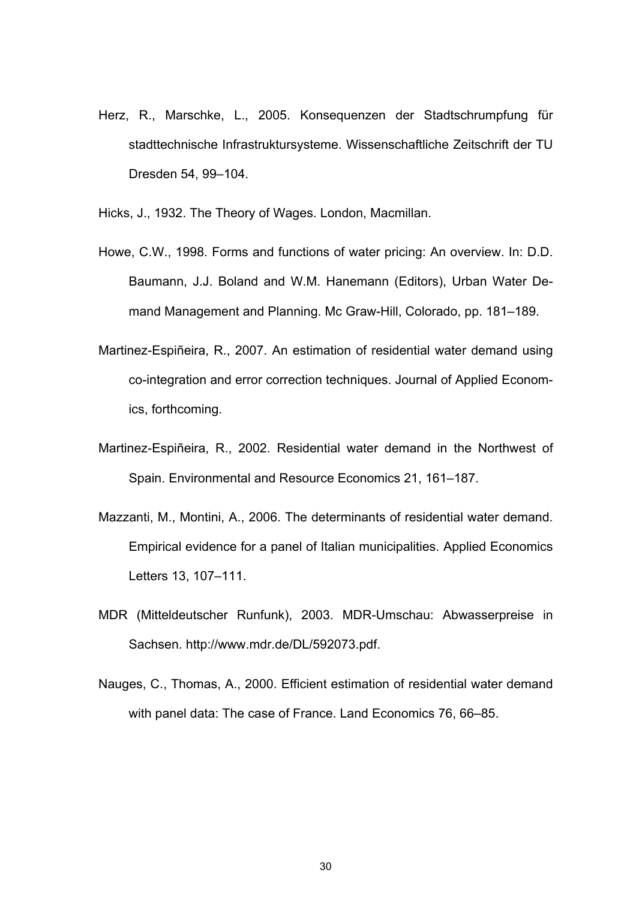Herz, R., Marschke, L., 2005. Konsequenzen der Stadtschrumpfung für stadttechnische Infrastruktursysteme. Wissenschaftliche Zeitschrift der TU Dresden 54, 99–104.

Hicks, J., 1932. The Theory of Wages. London, Macmillan.

- Howe, C.W., 1998. Forms and functions of water pricing: An overview. In: D.D. Baumann, J.J. Boland and W.M. Hanemann (Editors), Urban Water Demand Management and Planning. Mc Graw-Hill, Colorado, pp. 181–189.
- Martinez-Espiñeira, R., 2007. An estimation of residential water demand using co-integration and error correction techniques. Journal of Applied Economics, forthcoming.
- Martinez-Espiñeira, R., 2002. Residential water demand in the Northwest of Spain. Environmental and Resource Economics 21, 161–187.
- Mazzanti, M., Montini, A., 2006. The determinants of residential water demand. Empirical evidence for a panel of Italian municipalities. Applied Economics Letters 13, 107–111.
- MDR (Mitteldeutscher Runfunk), 2003. MDR-Umschau: Abwasserpreise in Sachsen. http://www.mdr.de/DL/592073.pdf.
- Nauges, C., Thomas, A., 2000. Efficient estimation of residential water demand with panel data: The case of France. Land Economics 76, 66–85.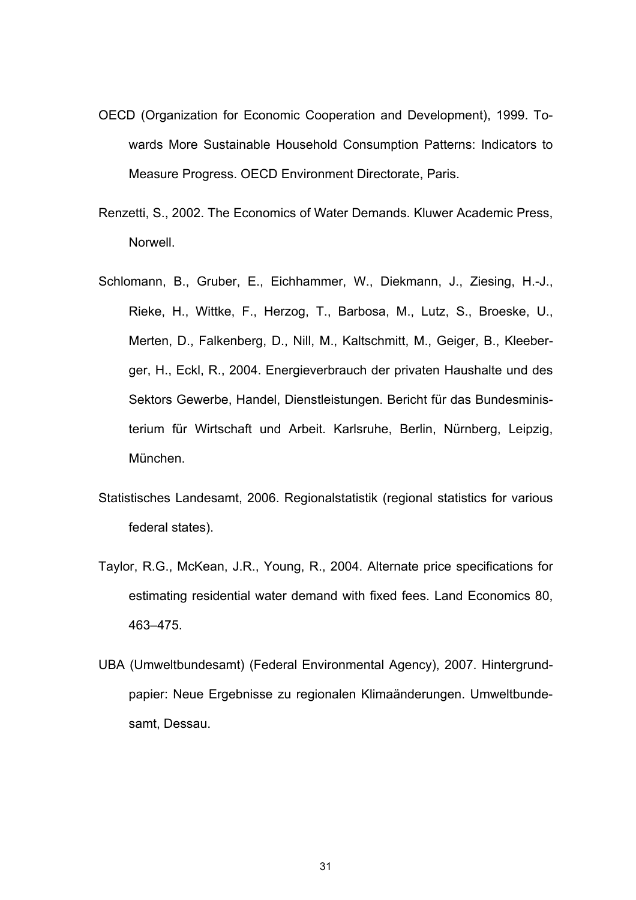- OECD (Organization for Economic Cooperation and Development), 1999. Towards More Sustainable Household Consumption Patterns: Indicators to Measure Progress. OECD Environment Directorate, Paris.
- Renzetti, S., 2002. The Economics of Water Demands. Kluwer Academic Press, Norwell.
- Schlomann, B., Gruber, E., Eichhammer, W., Diekmann, J., Ziesing, H.-J., Rieke, H., Wittke, F., Herzog, T., Barbosa, M., Lutz, S., Broeske, U., Merten, D., Falkenberg, D., Nill, M., Kaltschmitt, M., Geiger, B., Kleeberger, H., Eckl, R., 2004. Energieverbrauch der privaten Haushalte und des Sektors Gewerbe, Handel, Dienstleistungen. Bericht für das Bundesministerium für Wirtschaft und Arbeit. Karlsruhe, Berlin, Nürnberg, Leipzig, München.
- Statistisches Landesamt, 2006. Regionalstatistik (regional statistics for various federal states).
- Taylor, R.G., McKean, J.R., Young, R., 2004. Alternate price specifications for estimating residential water demand with fixed fees. Land Economics 80, 463–475.
- UBA (Umweltbundesamt) (Federal Environmental Agency), 2007. Hintergrundpapier: Neue Ergebnisse zu regionalen Klimaänderungen. Umweltbundesamt, Dessau.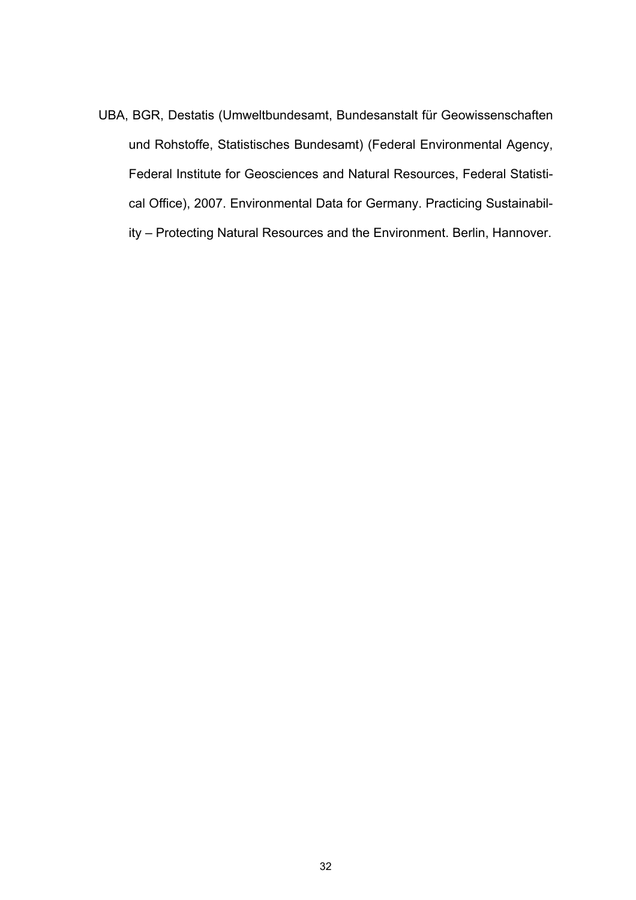UBA, BGR, Destatis (Umweltbundesamt, Bundesanstalt für Geowissenschaften und Rohstoffe, Statistisches Bundesamt) (Federal Environmental Agency, Federal Institute for Geosciences and Natural Resources, Federal Statistical Office), 2007. Environmental Data for Germany. Practicing Sustainability – Protecting Natural Resources and the Environment. Berlin, Hannover.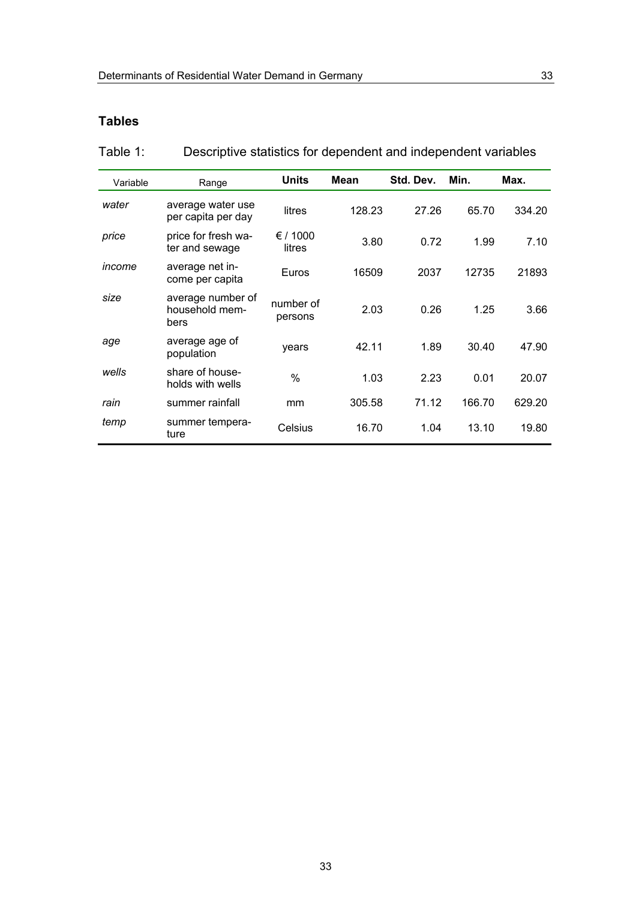## **Tables**

| Table 1: |  | Descriptive statistics for dependent and independent variables |
|----------|--|----------------------------------------------------------------|
|          |  |                                                                |

| Variable | Range                                       | <b>Units</b>         | <b>Mean</b> | Std. Dev. | Min.   | Max.   |
|----------|---------------------------------------------|----------------------|-------------|-----------|--------|--------|
| water    | average water use<br>per capita per day     | litres               | 128.23      | 27.26     | 65.70  | 334.20 |
| price    | price for fresh wa-<br>ter and sewage       | € / 1000<br>litres   | 3.80        | 0.72      | 1.99   | 7.10   |
| income   | average net in-<br>come per capita          | Euros                | 16509       | 2037      | 12735  | 21893  |
| size     | average number of<br>household mem-<br>bers | number of<br>persons | 2.03        | 0.26      | 1.25   | 3.66   |
| age      | average age of<br>population                | years                | 42.11       | 1.89      | 30.40  | 47.90  |
| wells    | share of house-<br>holds with wells         | %                    | 1.03        | 2.23      | 0.01   | 20.07  |
| rain     | summer rainfall                             | mm                   | 305.58      | 71.12     | 166.70 | 629.20 |
| temp     | summer tempera-<br>ture                     | Celsius              | 16.70       | 1.04      | 13.10  | 19.80  |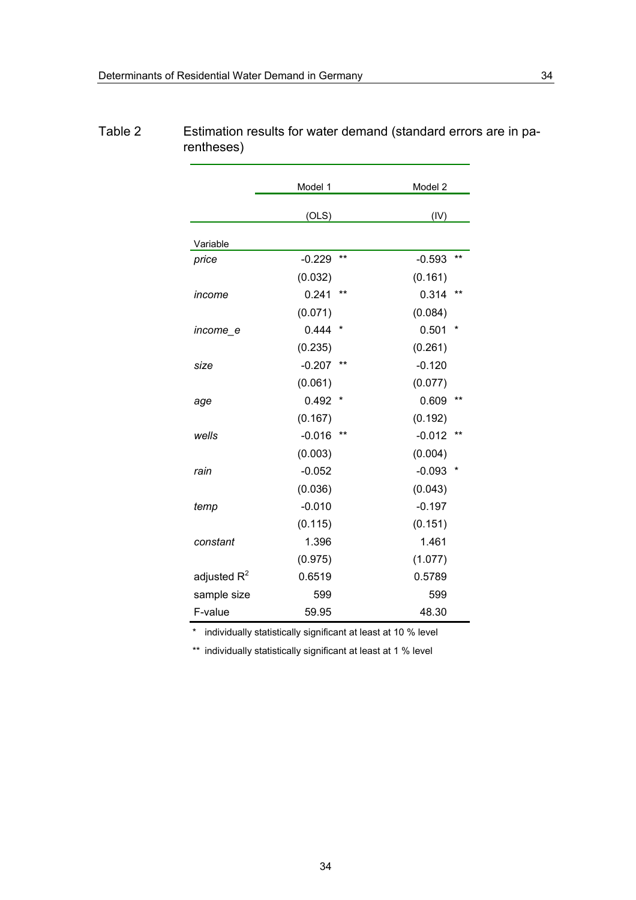|                | Model 1  |         |          | Model 2 |  |  |
|----------------|----------|---------|----------|---------|--|--|
|                | (OLS)    |         | (IV)     |         |  |  |
|                |          |         |          |         |  |  |
| Variable       |          |         |          |         |  |  |
| price          | $-0.229$ | $***$   | $-0.593$ | $***$   |  |  |
|                | (0.032)  |         | (0.161)  |         |  |  |
| income         | 0.241    | **      | 0.314    | $***$   |  |  |
|                | (0.071)  |         | (0.084)  |         |  |  |
| income e       | 0.444    | *       | 0.501    | *       |  |  |
|                | (0.235)  |         | (0.261)  |         |  |  |
| size           | $-0.207$ | $***$   | $-0.120$ |         |  |  |
|                | (0.061)  |         | (0.077)  |         |  |  |
| age            | 0.492    | $\star$ | 0.609    | $***$   |  |  |
|                | (0.167)  |         | (0.192)  |         |  |  |
| wells          | $-0.016$ | $***$   | $-0.012$ | $***$   |  |  |
|                | (0.003)  |         | (0.004)  |         |  |  |
| rain           | $-0.052$ |         | $-0.093$ |         |  |  |
|                | (0.036)  |         | (0.043)  |         |  |  |
| temp           | $-0.010$ |         | $-0.197$ |         |  |  |
|                | (0.115)  |         | (0.151)  |         |  |  |
| constant       | 1.396    |         | 1.461    |         |  |  |
|                | (0.975)  |         | (1.077)  |         |  |  |
| adjusted $R^2$ | 0.6519   |         | 0.5789   |         |  |  |
| sample size    | 599      |         | 599      |         |  |  |
| F-value        | 59.95    |         | 48.30    |         |  |  |

## Table 2 Estimation results for water demand (standard errors are in parentheses)

\* individually statistically significant at least at 10 % level

\*\* individually statistically significant at least at 1 % level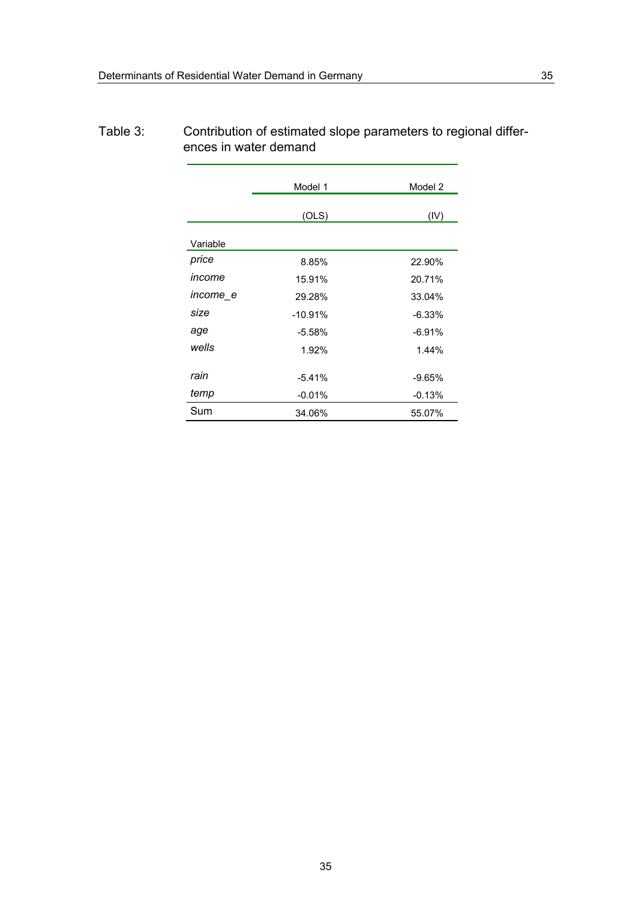|                 | Model 1   | Model 2  |
|-----------------|-----------|----------|
|                 | (OLS)     | (IV)     |
| Variable        |           |          |
| price           | 8.85%     | 22.90%   |
| income          | 15.91%    | 20.71%   |
| <i>income_e</i> | 29.28%    | 33.04%   |
| size            | $-10.91%$ | $-6.33%$ |
| age             | $-5.58%$  | $-6.91%$ |
| wells           | 1.92%     | 1.44%    |
| rain            | $-5.41%$  | $-9.65%$ |
| temp            | $-0.01%$  | $-0.13%$ |
| Sum             | 34.06%    | 55.07%   |

## Table 3: Contribution of estimated slope parameters to regional differences in water demand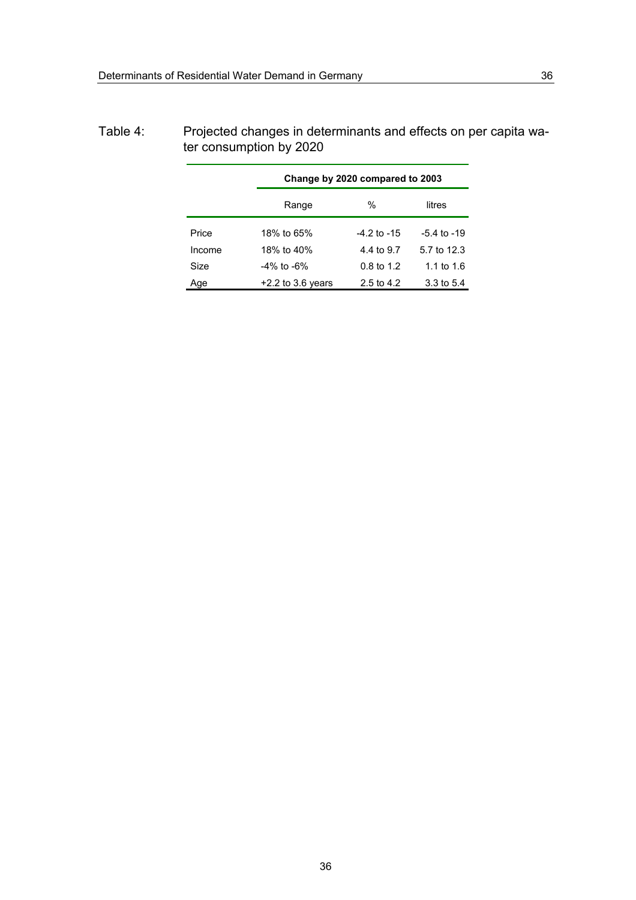|        | Change by 2020 compared to 2003 |                       |                 |
|--------|---------------------------------|-----------------------|-----------------|
|        | Range                           | $\%$<br>litres        |                 |
| Price  | 18% to 65%                      | -4.2 to -15           | $-5.4$ to $-19$ |
| Income | 18% to 40%                      | 4.4 to 9.7            | 5.7 to 12.3     |
| Size   | -4% to -6%                      | $0.8 \text{ to } 1.2$ | 1.1 to $1.6$    |
| Age    | $+2.2$ to 3.6 years             | 2.5 to 4.2            | 3.3 to 5.4      |

## Table 4: Projected changes in determinants and effects on per capita water consumption by 2020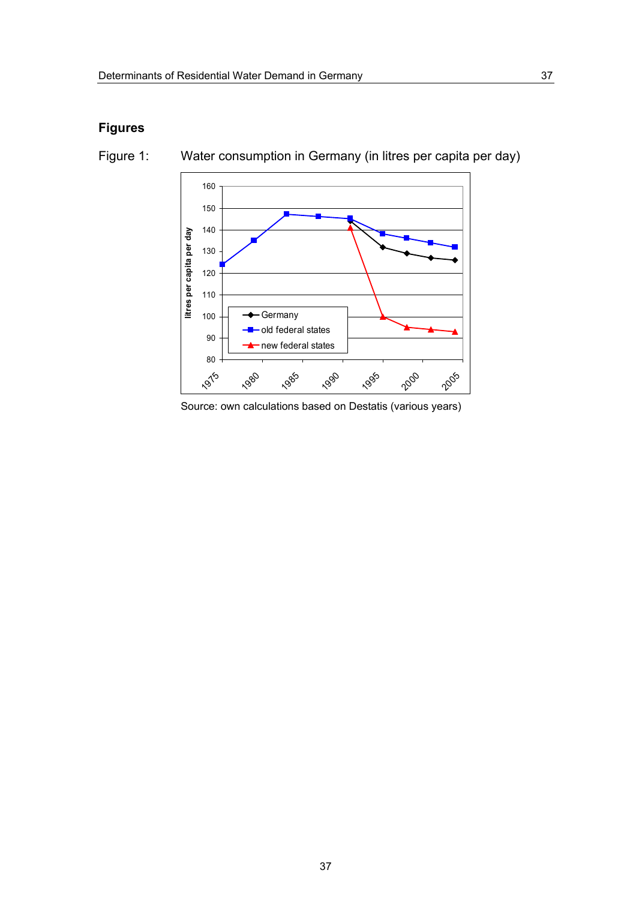## **Figures**



Figure 1: Water consumption in Germany (in litres per capita per day)

Source: own calculations based on Destatis (various years)